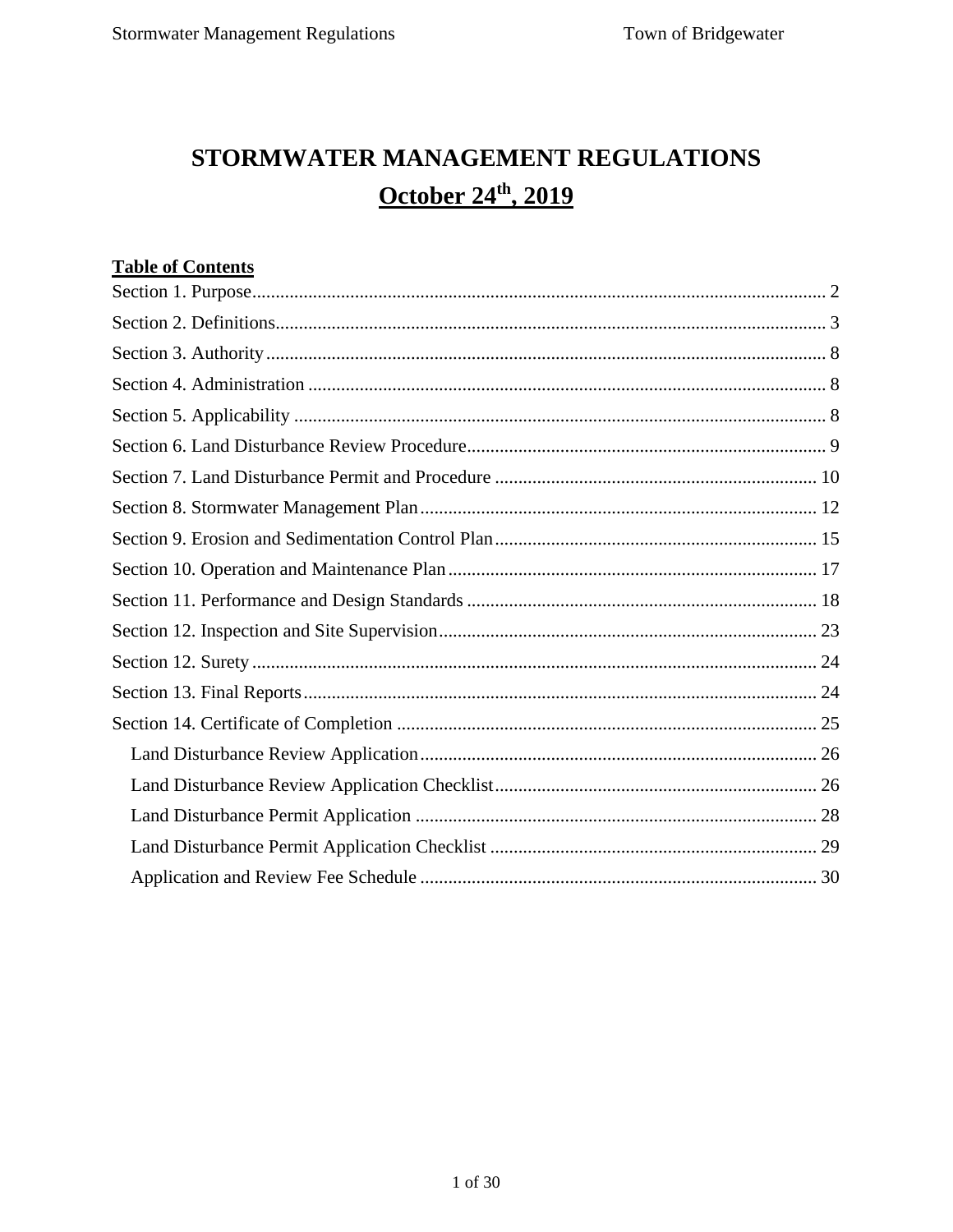# STORMWATER MANAGEMENT REGULATIONS October 24th, 2019

## **Table of Contents**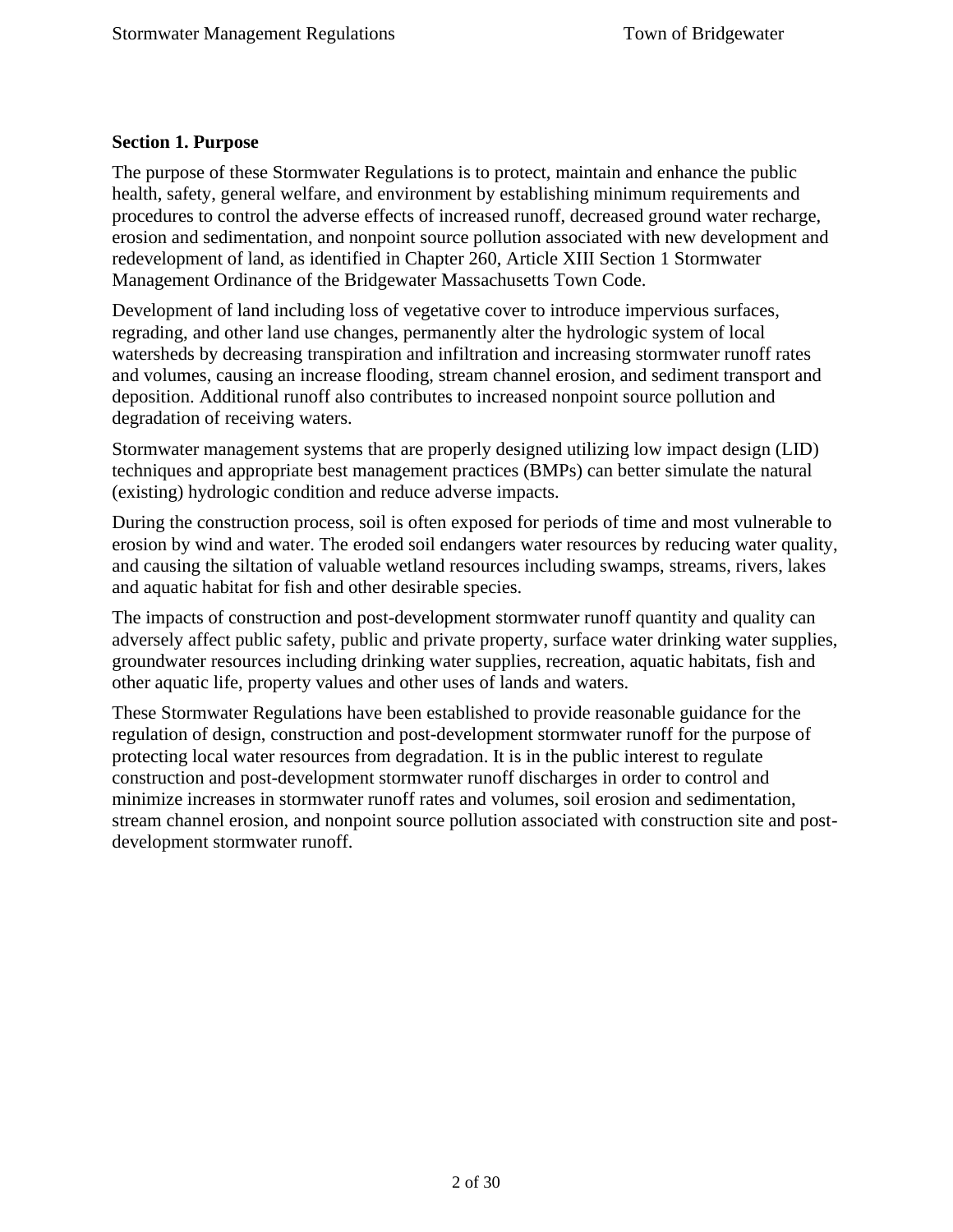#### <span id="page-1-0"></span>**Section 1. Purpose**

The purpose of these Stormwater Regulations is to protect, maintain and enhance the public health, safety, general welfare, and environment by establishing minimum requirements and procedures to control the adverse effects of increased runoff, decreased ground water recharge, erosion and sedimentation, and nonpoint source pollution associated with new development and redevelopment of land, as identified in Chapter 260, Article XIII Section 1 Stormwater Management Ordinance of the Bridgewater Massachusetts Town Code.

Development of land including loss of vegetative cover to introduce impervious surfaces, regrading, and other land use changes, permanently alter the hydrologic system of local watersheds by decreasing transpiration and infiltration and increasing stormwater runoff rates and volumes, causing an increase flooding, stream channel erosion, and sediment transport and deposition. Additional runoff also contributes to increased nonpoint source pollution and degradation of receiving waters.

Stormwater management systems that are properly designed utilizing low impact design (LID) techniques and appropriate best management practices (BMPs) can better simulate the natural (existing) hydrologic condition and reduce adverse impacts.

During the construction process, soil is often exposed for periods of time and most vulnerable to erosion by wind and water. The eroded soil endangers water resources by reducing water quality, and causing the siltation of valuable wetland resources including swamps, streams, rivers, lakes and aquatic habitat for fish and other desirable species.

The impacts of construction and post-development stormwater runoff quantity and quality can adversely affect public safety, public and private property, surface water drinking water supplies, groundwater resources including drinking water supplies, recreation, aquatic habitats, fish and other aquatic life, property values and other uses of lands and waters.

These Stormwater Regulations have been established to provide reasonable guidance for the regulation of design, construction and post-development stormwater runoff for the purpose of protecting local water resources from degradation. It is in the public interest to regulate construction and post-development stormwater runoff discharges in order to control and minimize increases in stormwater runoff rates and volumes, soil erosion and sedimentation, stream channel erosion, and nonpoint source pollution associated with construction site and postdevelopment stormwater runoff.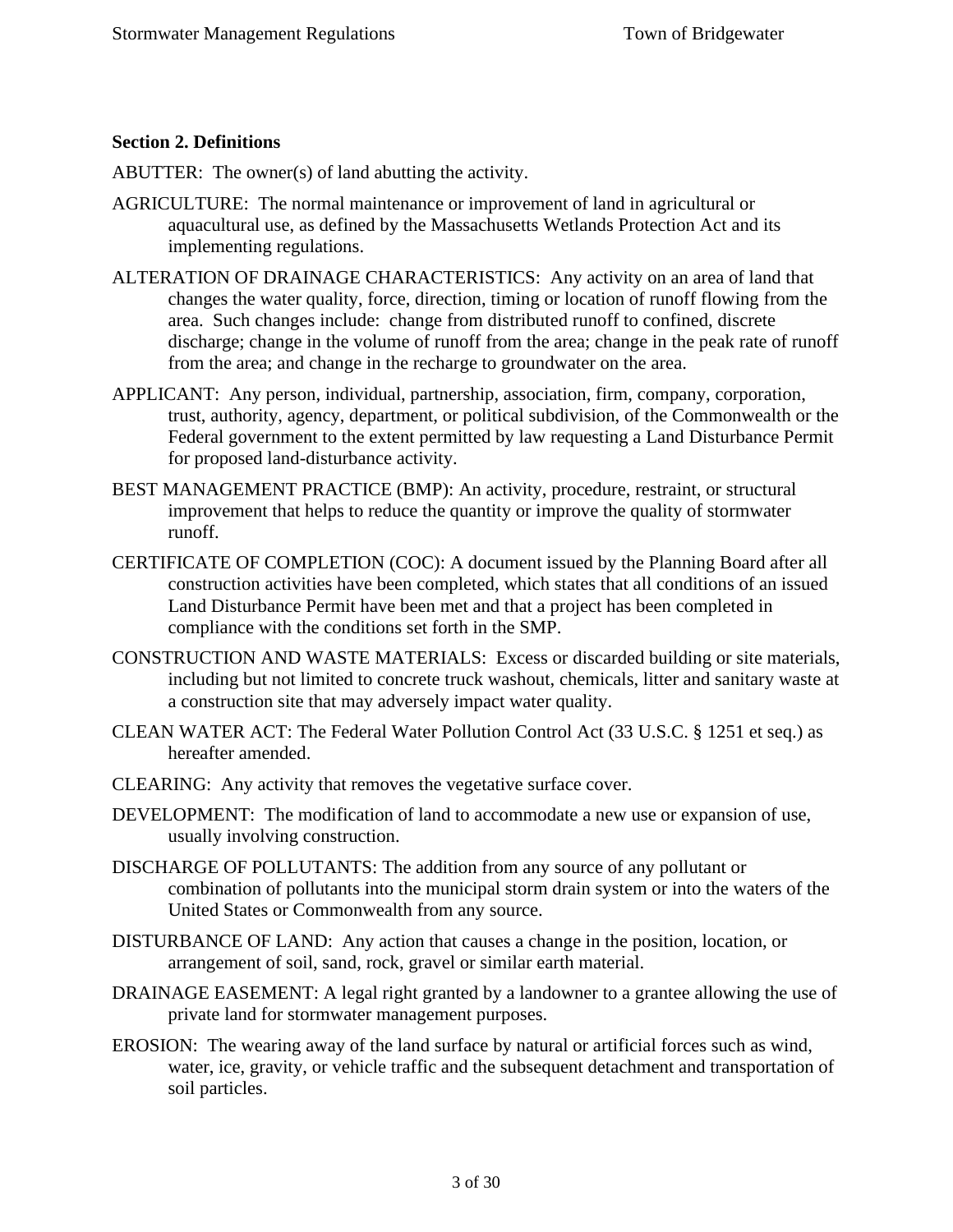#### <span id="page-2-0"></span>**Section 2. Definitions**

ABUTTER: The owner(s) of land abutting the activity.

- AGRICULTURE: The normal maintenance or improvement of land in agricultural or aquacultural use, as defined by the Massachusetts Wetlands Protection Act and its implementing regulations.
- ALTERATION OF DRAINAGE CHARACTERISTICS: Any activity on an area of land that changes the water quality, force, direction, timing or location of runoff flowing from the area. Such changes include: change from distributed runoff to confined, discrete discharge; change in the volume of runoff from the area; change in the peak rate of runoff from the area; and change in the recharge to groundwater on the area.
- APPLICANT: Any person, individual, partnership, association, firm, company, corporation, trust, authority, agency, department, or political subdivision, of the Commonwealth or the Federal government to the extent permitted by law requesting a Land Disturbance Permit for proposed land-disturbance activity.
- BEST MANAGEMENT PRACTICE (BMP): An activity, procedure, restraint, or structural improvement that helps to reduce the quantity or improve the quality of stormwater runoff.
- CERTIFICATE OF COMPLETION (COC): A document issued by the Planning Board after all construction activities have been completed, which states that all conditions of an issued Land Disturbance Permit have been met and that a project has been completed in compliance with the conditions set forth in the SMP.
- CONSTRUCTION AND WASTE MATERIALS: Excess or discarded building or site materials, including but not limited to concrete truck washout, chemicals, litter and sanitary waste at a construction site that may adversely impact water quality.
- CLEAN WATER ACT: The Federal Water Pollution Control Act (33 U.S.C. § 1251 et seq.) as hereafter amended.
- CLEARING: Any activity that removes the vegetative surface cover.
- DEVELOPMENT: The modification of land to accommodate a new use or expansion of use, usually involving construction.
- DISCHARGE OF POLLUTANTS: The addition from any source of any pollutant or combination of pollutants into the municipal storm drain system or into the waters of the United States or Commonwealth from any source.
- DISTURBANCE OF LAND: Any action that causes a change in the position, location, or arrangement of soil, sand, rock, gravel or similar earth material.
- DRAINAGE EASEMENT: A legal right granted by a landowner to a grantee allowing the use of private land for stormwater management purposes.
- EROSION: The wearing away of the land surface by natural or artificial forces such as wind, water, ice, gravity, or vehicle traffic and the subsequent detachment and transportation of soil particles.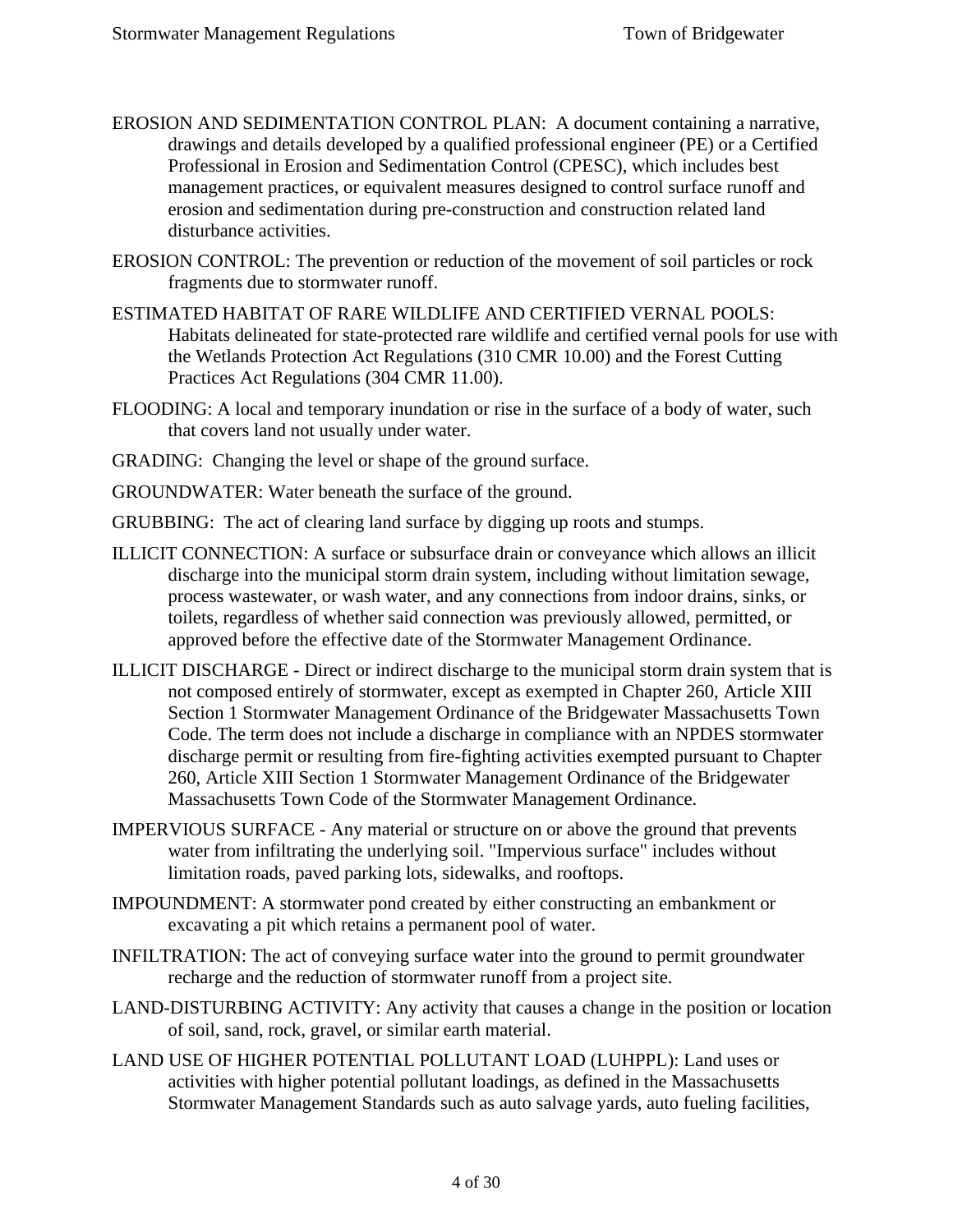- EROSION AND SEDIMENTATION CONTROL PLAN: A document containing a narrative, drawings and details developed by a qualified professional engineer (PE) or a Certified Professional in Erosion and Sedimentation Control (CPESC), which includes best management practices, or equivalent measures designed to control surface runoff and erosion and sedimentation during pre-construction and construction related land disturbance activities.
- EROSION CONTROL: The prevention or reduction of the movement of soil particles or rock fragments due to stormwater runoff.
- ESTIMATED HABITAT OF RARE WILDLIFE AND CERTIFIED VERNAL POOLS: Habitats delineated for state-protected rare wildlife and certified vernal pools for use with the Wetlands Protection Act Regulations (310 CMR 10.00) and the Forest Cutting Practices Act Regulations (304 CMR 11.00).
- FLOODING: A local and temporary inundation or rise in the surface of a body of water, such that covers land not usually under water.
- GRADING: Changing the level or shape of the ground surface.
- GROUNDWATER: Water beneath the surface of the ground.
- GRUBBING: The act of clearing land surface by digging up roots and stumps.
- ILLICIT CONNECTION: A surface or subsurface drain or conveyance which allows an illicit discharge into the municipal storm drain system, including without limitation sewage, process wastewater, or wash water, and any connections from indoor drains, sinks, or toilets, regardless of whether said connection was previously allowed, permitted, or approved before the effective date of the Stormwater Management Ordinance.
- ILLICIT DISCHARGE Direct or indirect discharge to the municipal storm drain system that is not composed entirely of stormwater, except as exempted in Chapter 260, Article XIII Section 1 Stormwater Management Ordinance of the Bridgewater Massachusetts Town Code. The term does not include a discharge in compliance with an NPDES stormwater discharge permit or resulting from fire-fighting activities exempted pursuant to Chapter 260, Article XIII Section 1 Stormwater Management Ordinance of the Bridgewater Massachusetts Town Code of the Stormwater Management Ordinance.
- IMPERVIOUS SURFACE Any material or structure on or above the ground that prevents water from infiltrating the underlying soil. "Impervious surface" includes without limitation roads, paved parking lots, sidewalks, and rooftops.
- IMPOUNDMENT: A stormwater pond created by either constructing an embankment or excavating a pit which retains a permanent pool of water.
- INFILTRATION: The act of conveying surface water into the ground to permit groundwater recharge and the reduction of stormwater runoff from a project site.
- LAND-DISTURBING ACTIVITY: Any activity that causes a change in the position or location of soil, sand, rock, gravel, or similar earth material.
- LAND USE OF HIGHER POTENTIAL POLLUTANT LOAD (LUHPPL): Land uses or activities with higher potential pollutant loadings, as defined in the Massachusetts Stormwater Management Standards such as auto salvage yards, auto fueling facilities,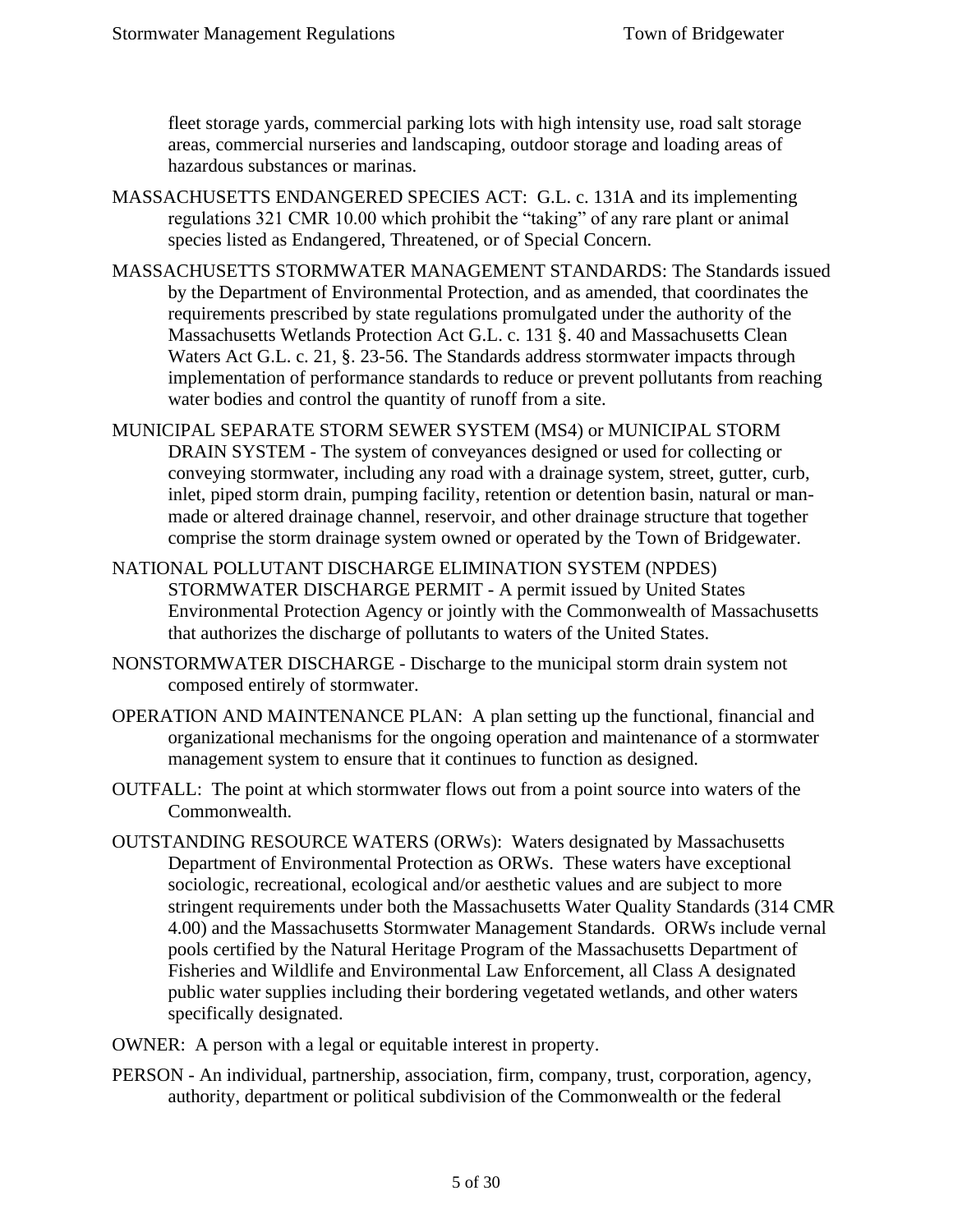fleet storage yards, commercial parking lots with high intensity use, road salt storage areas, commercial nurseries and landscaping, outdoor storage and loading areas of hazardous substances or marinas.

- MASSACHUSETTS ENDANGERED SPECIES ACT: G.L. c. 131A and its implementing regulations 321 CMR 10.00 which prohibit the "taking" of any rare plant or animal species listed as Endangered, Threatened, or of Special Concern.
- MASSACHUSETTS STORMWATER MANAGEMENT STANDARDS: The Standards issued by the Department of Environmental Protection, and as amended, that coordinates the requirements prescribed by state regulations promulgated under the authority of the Massachusetts Wetlands Protection Act G.L. c. 131 §. 40 and Massachusetts Clean Waters Act G.L. c. 21, §. 23-56. The Standards address stormwater impacts through implementation of performance standards to reduce or prevent pollutants from reaching water bodies and control the quantity of runoff from a site.
- MUNICIPAL SEPARATE STORM SEWER SYSTEM (MS4) or MUNICIPAL STORM DRAIN SYSTEM - The system of conveyances designed or used for collecting or conveying stormwater, including any road with a drainage system, street, gutter, curb, inlet, piped storm drain, pumping facility, retention or detention basin, natural or manmade or altered drainage channel, reservoir, and other drainage structure that together comprise the storm drainage system owned or operated by the Town of Bridgewater.
- NATIONAL POLLUTANT DISCHARGE ELIMINATION SYSTEM (NPDES) STORMWATER DISCHARGE PERMIT - A permit issued by United States Environmental Protection Agency or jointly with the Commonwealth of Massachusetts that authorizes the discharge of pollutants to waters of the United States.
- NONSTORMWATER DISCHARGE Discharge to the municipal storm drain system not composed entirely of stormwater.
- OPERATION AND MAINTENANCE PLAN: A plan setting up the functional, financial and organizational mechanisms for the ongoing operation and maintenance of a stormwater management system to ensure that it continues to function as designed.
- OUTFALL: The point at which stormwater flows out from a point source into waters of the Commonwealth.
- OUTSTANDING RESOURCE WATERS (ORWs): Waters designated by Massachusetts Department of Environmental Protection as ORWs. These waters have exceptional sociologic, recreational, ecological and/or aesthetic values and are subject to more stringent requirements under both the Massachusetts Water Quality Standards (314 CMR 4.00) and the Massachusetts Stormwater Management Standards. ORWs include vernal pools certified by the Natural Heritage Program of the Massachusetts Department of Fisheries and Wildlife and Environmental Law Enforcement, all Class A designated public water supplies including their bordering vegetated wetlands, and other waters specifically designated.
- OWNER: A person with a legal or equitable interest in property.
- PERSON An individual, partnership, association, firm, company, trust, corporation, agency, authority, department or political subdivision of the Commonwealth or the federal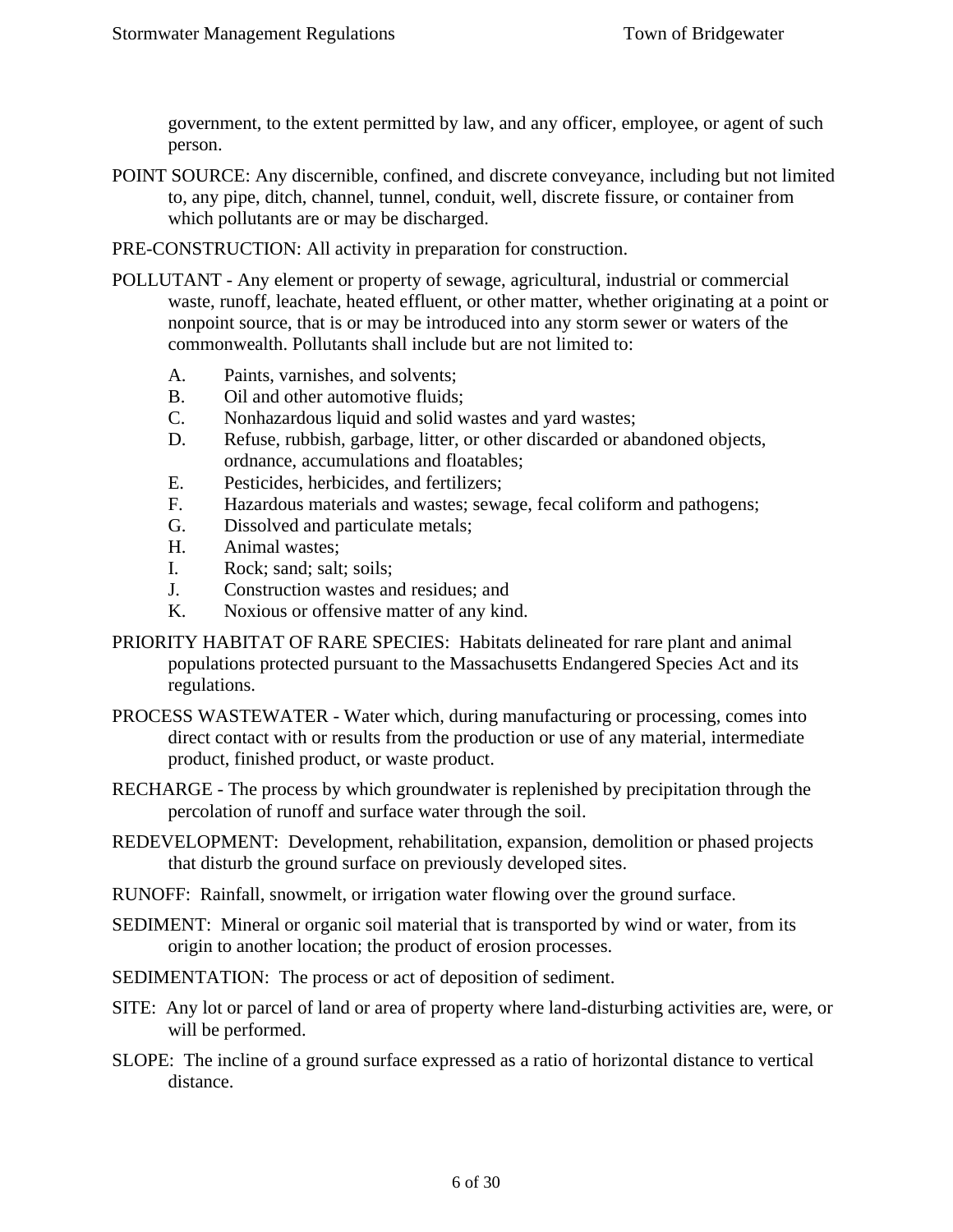government, to the extent permitted by law, and any officer, employee, or agent of such person.

POINT SOURCE: Any discernible, confined, and discrete conveyance, including but not limited to, any pipe, ditch, channel, tunnel, conduit, well, discrete fissure, or container from which pollutants are or may be discharged.

PRE-CONSTRUCTION: All activity in preparation for construction.

- POLLUTANT Any element or property of sewage, agricultural, industrial or commercial waste, runoff, leachate, heated effluent, or other matter, whether originating at a point or nonpoint source, that is or may be introduced into any storm sewer or waters of the commonwealth. Pollutants shall include but are not limited to:
	- A. Paints, varnishes, and solvents;
	- B. Oil and other automotive fluids;
	- C. Nonhazardous liquid and solid wastes and yard wastes;
	- D. Refuse, rubbish, garbage, litter, or other discarded or abandoned objects, ordnance, accumulations and floatables;
	- E. Pesticides, herbicides, and fertilizers;
	- F. Hazardous materials and wastes; sewage, fecal coliform and pathogens;
	- G. Dissolved and particulate metals;
	- H. Animal wastes;
	- I. Rock; sand; salt; soils;
	- J. Construction wastes and residues; and
	- K. Noxious or offensive matter of any kind.
- PRIORITY HABITAT OF RARE SPECIES: Habitats delineated for rare plant and animal populations protected pursuant to the Massachusetts Endangered Species Act and its regulations.
- PROCESS WASTEWATER Water which, during manufacturing or processing, comes into direct contact with or results from the production or use of any material, intermediate product, finished product, or waste product.
- RECHARGE The process by which groundwater is replenished by precipitation through the percolation of runoff and surface water through the soil.
- REDEVELOPMENT: Development, rehabilitation, expansion, demolition or phased projects that disturb the ground surface on previously developed sites.
- RUNOFF: Rainfall, snowmelt, or irrigation water flowing over the ground surface.
- SEDIMENT: Mineral or organic soil material that is transported by wind or water, from its origin to another location; the product of erosion processes.
- SEDIMENTATION: The process or act of deposition of sediment.
- SITE: Any lot or parcel of land or area of property where land-disturbing activities are, were, or will be performed.
- SLOPE: The incline of a ground surface expressed as a ratio of horizontal distance to vertical distance.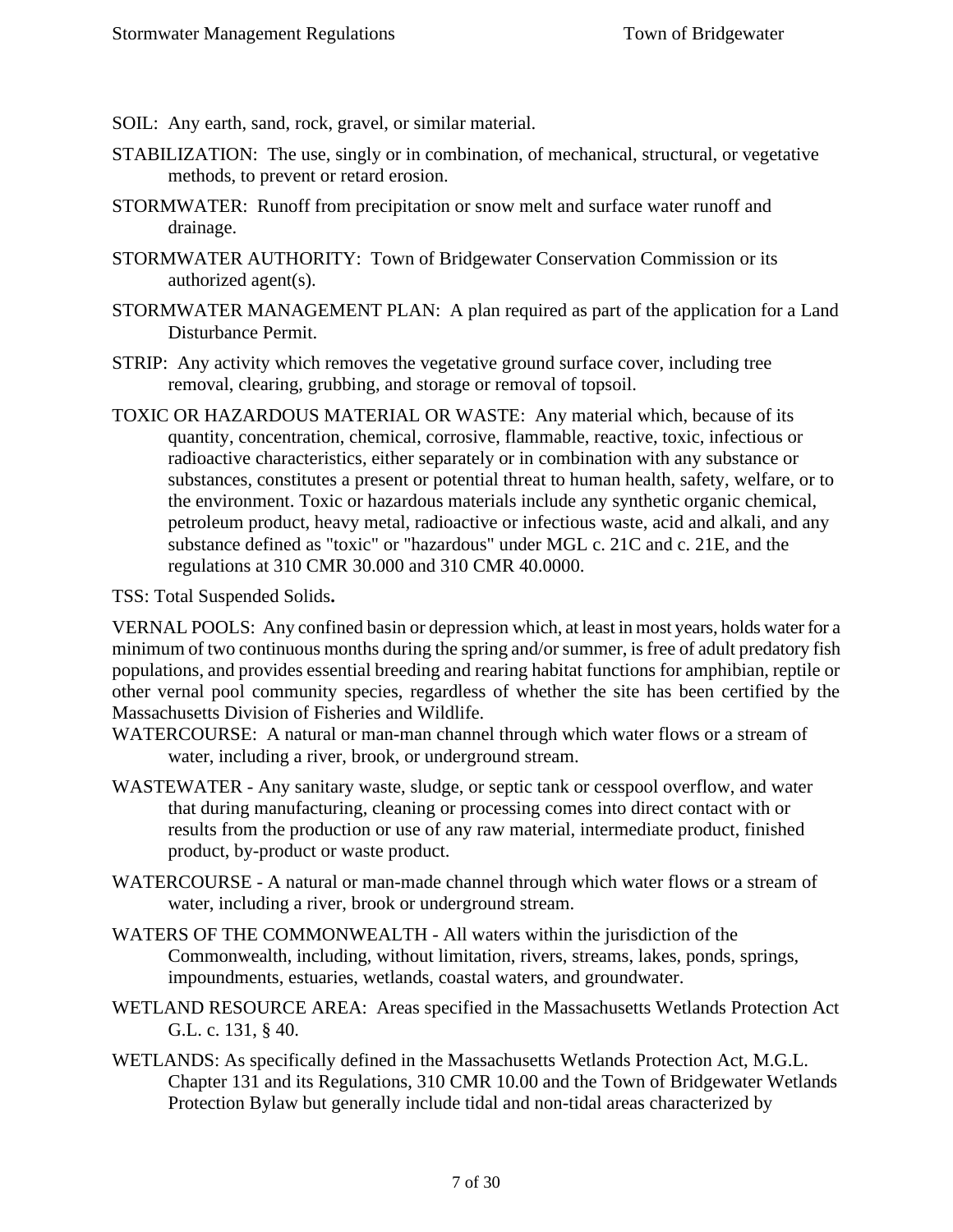SOIL: Any earth, sand, rock, gravel, or similar material.

- STABILIZATION: The use, singly or in combination, of mechanical, structural, or vegetative methods, to prevent or retard erosion.
- STORMWATER: Runoff from precipitation or snow melt and surface water runoff and drainage.
- STORMWATER AUTHORITY: Town of Bridgewater Conservation Commission or its authorized agent(s).
- STORMWATER MANAGEMENT PLAN: A plan required as part of the application for a Land Disturbance Permit.
- STRIP: Any activity which removes the vegetative ground surface cover, including tree removal, clearing, grubbing, and storage or removal of topsoil.
- TOXIC OR HAZARDOUS MATERIAL OR WASTE: Any material which, because of its quantity, concentration, chemical, corrosive, flammable, reactive, toxic, infectious or radioactive characteristics, either separately or in combination with any substance or substances, constitutes a present or potential threat to human health, safety, welfare, or to the environment. Toxic or hazardous materials include any synthetic organic chemical, petroleum product, heavy metal, radioactive or infectious waste, acid and alkali, and any substance defined as "toxic" or "hazardous" under MGL c. 21C and c. 21E, and the regulations at 310 CMR 30.000 and 310 CMR 40.0000.

TSS: Total Suspended Solids**.**

VERNAL POOLS: Any confined basin or depression which, at least in most years, holds water for a minimum of two continuous months during the spring and/or summer, is free of adult predatory fish populations, and provides essential breeding and rearing habitat functions for amphibian, reptile or other vernal pool community species, regardless of whether the site has been certified by the Massachusetts Division of Fisheries and Wildlife.

WATERCOURSE: A natural or man-man channel through which water flows or a stream of water, including a river, brook, or underground stream.

- WASTEWATER Any sanitary waste, sludge, or septic tank or cesspool overflow, and water that during manufacturing, cleaning or processing comes into direct contact with or results from the production or use of any raw material, intermediate product, finished product, by-product or waste product.
- WATERCOURSE A natural or man-made channel through which water flows or a stream of water, including a river, brook or underground stream.
- WATERS OF THE COMMONWEALTH All waters within the jurisdiction of the Commonwealth, including, without limitation, rivers, streams, lakes, ponds, springs, impoundments, estuaries, wetlands, coastal waters, and groundwater.
- WETLAND RESOURCE AREA: Areas specified in the Massachusetts Wetlands Protection Act G.L. c. 131, § 40.
- WETLANDS: As specifically defined in the Massachusetts Wetlands Protection Act, M.G.L. Chapter 131 and its Regulations, 310 CMR 10.00 and the Town of Bridgewater Wetlands Protection Bylaw but generally include tidal and non-tidal areas characterized by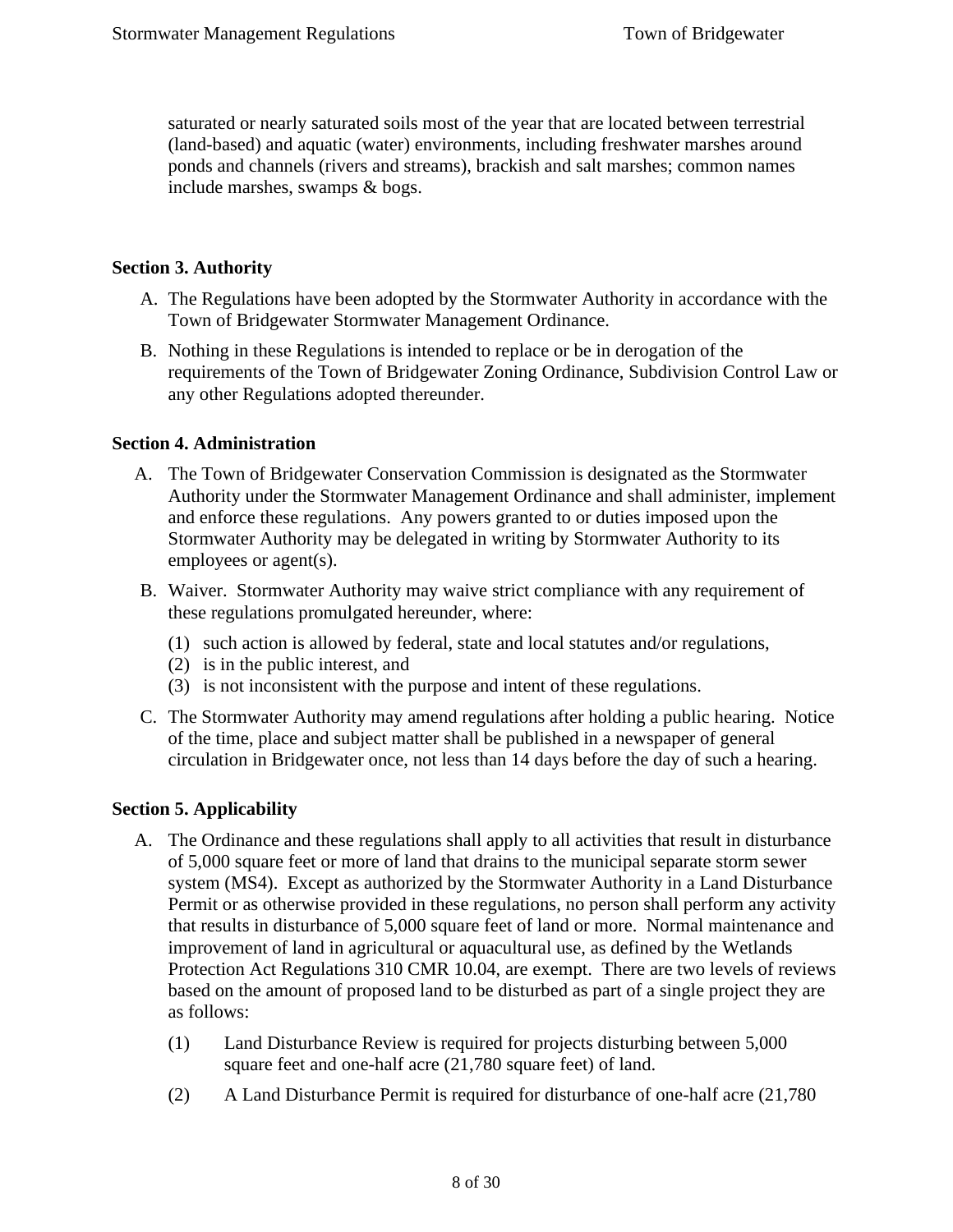saturated or nearly saturated soils most of the year that are located between terrestrial (land-based) and aquatic (water) environments, including freshwater marshes around ponds and channels (rivers and streams), brackish and salt marshes; common names include marshes, swamps & bogs.

#### <span id="page-7-0"></span>**Section 3. Authority**

- A. The Regulations have been adopted by the Stormwater Authority in accordance with the Town of Bridgewater Stormwater Management Ordinance.
- B. Nothing in these Regulations is intended to replace or be in derogation of the requirements of the Town of Bridgewater Zoning Ordinance, Subdivision Control Law or any other Regulations adopted thereunder.

#### <span id="page-7-1"></span>**Section 4. Administration**

- A. The Town of Bridgewater Conservation Commission is designated as the Stormwater Authority under the Stormwater Management Ordinance and shall administer, implement and enforce these regulations. Any powers granted to or duties imposed upon the Stormwater Authority may be delegated in writing by Stormwater Authority to its employees or agent(s).
- B. Waiver. Stormwater Authority may waive strict compliance with any requirement of these regulations promulgated hereunder, where:
	- (1) such action is allowed by federal, state and local statutes and/or regulations,
	- (2) is in the public interest, and
	- (3) is not inconsistent with the purpose and intent of these regulations.
- C. The Stormwater Authority may amend regulations after holding a public hearing. Notice of the time, place and subject matter shall be published in a newspaper of general circulation in Bridgewater once, not less than 14 days before the day of such a hearing.

#### <span id="page-7-2"></span>**Section 5. Applicability**

- A. The Ordinance and these regulations shall apply to all activities that result in disturbance of 5,000 square feet or more of land that drains to the municipal separate storm sewer system (MS4). Except as authorized by the Stormwater Authority in a Land Disturbance Permit or as otherwise provided in these regulations, no person shall perform any activity that results in disturbance of 5,000 square feet of land or more. Normal maintenance and improvement of land in agricultural or aquacultural use, as defined by the Wetlands Protection Act Regulations 310 CMR 10.04, are exempt. There are two levels of reviews based on the amount of proposed land to be disturbed as part of a single project they are as follows:
	- (1) Land Disturbance Review is required for projects disturbing between 5,000 square feet and one-half acre (21,780 square feet) of land.
	- (2) A Land Disturbance Permit is required for disturbance of one-half acre (21,780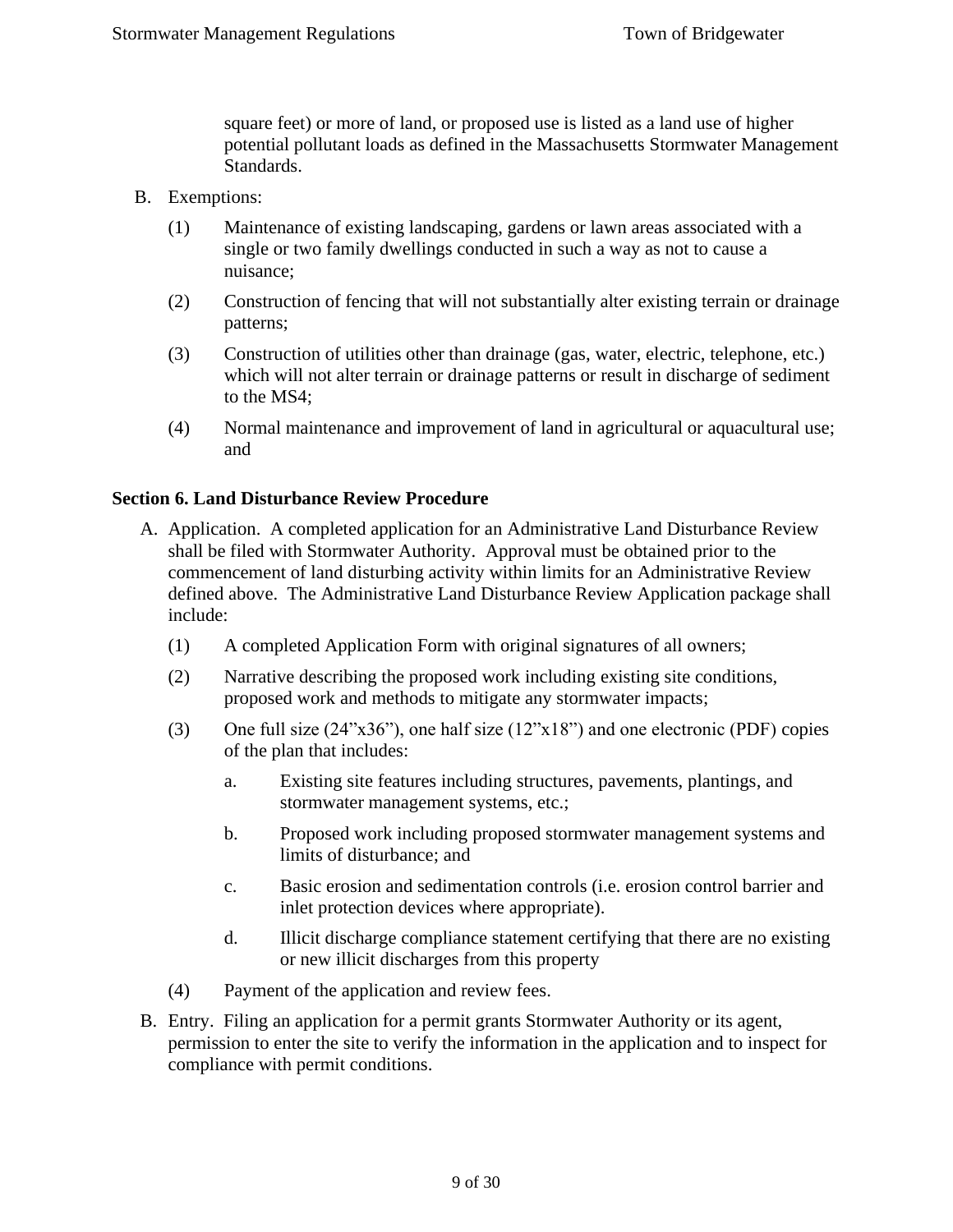square feet) or more of land, or proposed use is listed as a land use of higher potential pollutant loads as defined in the Massachusetts Stormwater Management Standards.

- B. Exemptions:
	- (1) Maintenance of existing landscaping, gardens or lawn areas associated with a single or two family dwellings conducted in such a way as not to cause a nuisance;
	- (2) Construction of fencing that will not substantially alter existing terrain or drainage patterns;
	- (3) Construction of utilities other than drainage (gas, water, electric, telephone, etc.) which will not alter terrain or drainage patterns or result in discharge of sediment to the MS4;
	- (4) Normal maintenance and improvement of land in agricultural or aquacultural use; and

#### <span id="page-8-0"></span>**Section 6. Land Disturbance Review Procedure**

- A. Application. A completed application for an Administrative Land Disturbance Review shall be filed with Stormwater Authority. Approval must be obtained prior to the commencement of land disturbing activity within limits for an Administrative Review defined above. The Administrative Land Disturbance Review Application package shall include:
	- (1) A completed Application Form with original signatures of all owners;
	- (2) Narrative describing the proposed work including existing site conditions, proposed work and methods to mitigate any stormwater impacts;
	- (3) One full size (24"x36"), one half size (12"x18") and one electronic (PDF) copies of the plan that includes:
		- a. Existing site features including structures, pavements, plantings, and stormwater management systems, etc.;
		- b. Proposed work including proposed stormwater management systems and limits of disturbance; and
		- c. Basic erosion and sedimentation controls (i.e. erosion control barrier and inlet protection devices where appropriate).
		- d. Illicit discharge compliance statement certifying that there are no existing or new illicit discharges from this property
	- (4) Payment of the application and review fees.
- B. Entry. Filing an application for a permit grants Stormwater Authority or its agent, permission to enter the site to verify the information in the application and to inspect for compliance with permit conditions.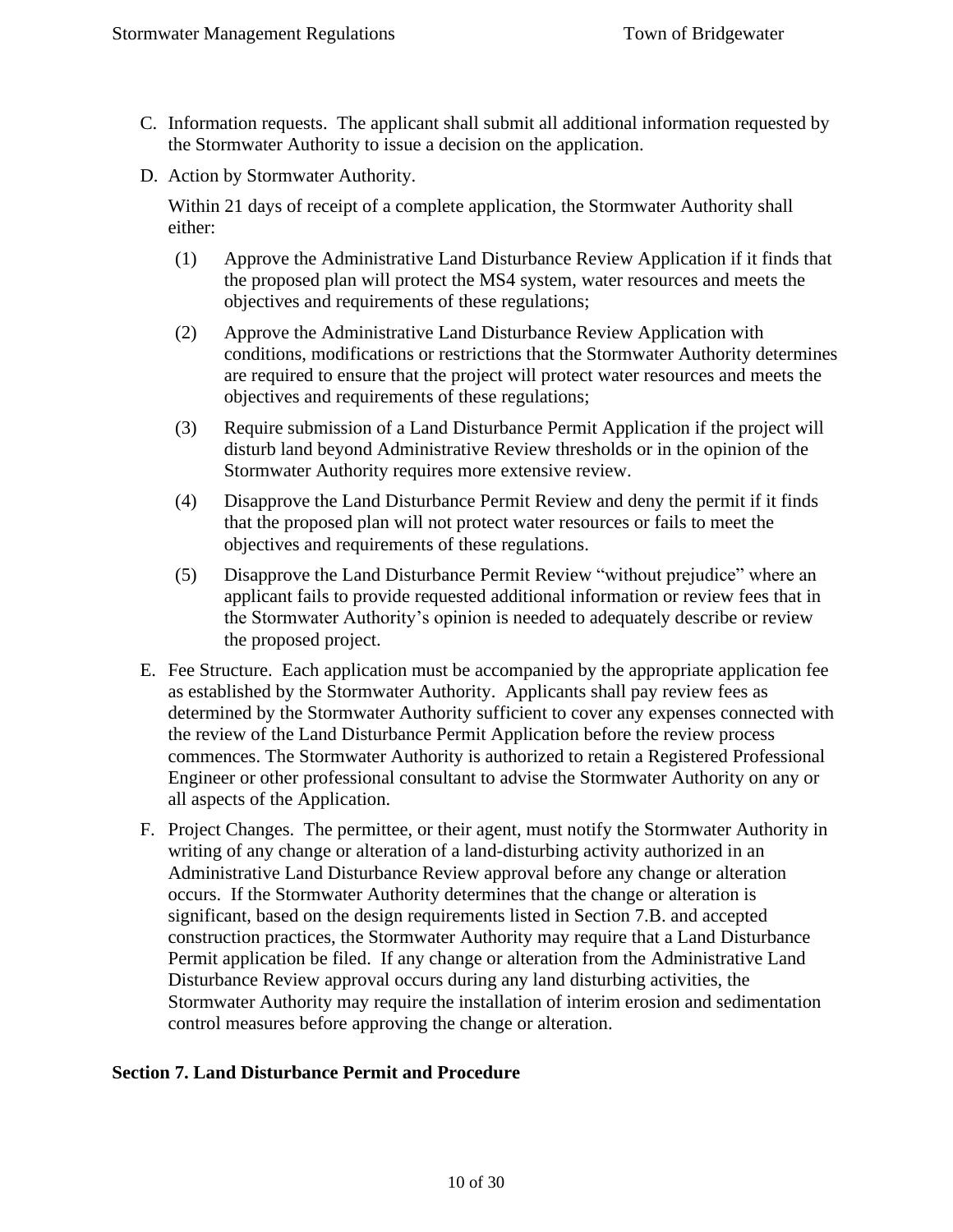- C. Information requests. The applicant shall submit all additional information requested by the Stormwater Authority to issue a decision on the application.
- D. Action by Stormwater Authority.

Within 21 days of receipt of a complete application, the Stormwater Authority shall either:

- (1) Approve the Administrative Land Disturbance Review Application if it finds that the proposed plan will protect the MS4 system, water resources and meets the objectives and requirements of these regulations;
- (2) Approve the Administrative Land Disturbance Review Application with conditions, modifications or restrictions that the Stormwater Authority determines are required to ensure that the project will protect water resources and meets the objectives and requirements of these regulations;
- (3) Require submission of a Land Disturbance Permit Application if the project will disturb land beyond Administrative Review thresholds or in the opinion of the Stormwater Authority requires more extensive review.
- (4) Disapprove the Land Disturbance Permit Review and deny the permit if it finds that the proposed plan will not protect water resources or fails to meet the objectives and requirements of these regulations.
- (5) Disapprove the Land Disturbance Permit Review "without prejudice" where an applicant fails to provide requested additional information or review fees that in the Stormwater Authority's opinion is needed to adequately describe or review the proposed project.
- E. Fee Structure. Each application must be accompanied by the appropriate application fee as established by the Stormwater Authority. Applicants shall pay review fees as determined by the Stormwater Authority sufficient to cover any expenses connected with the review of the Land Disturbance Permit Application before the review process commences. The Stormwater Authority is authorized to retain a Registered Professional Engineer or other professional consultant to advise the Stormwater Authority on any or all aspects of the Application.
- F. Project Changes. The permittee, or their agent, must notify the Stormwater Authority in writing of any change or alteration of a land-disturbing activity authorized in an Administrative Land Disturbance Review approval before any change or alteration occurs. If the Stormwater Authority determines that the change or alteration is significant, based on the design requirements listed in Section 7.B. and accepted construction practices, the Stormwater Authority may require that a Land Disturbance Permit application be filed. If any change or alteration from the Administrative Land Disturbance Review approval occurs during any land disturbing activities, the Stormwater Authority may require the installation of interim erosion and sedimentation control measures before approving the change or alteration.

#### <span id="page-9-0"></span>**Section 7. Land Disturbance Permit and Procedure**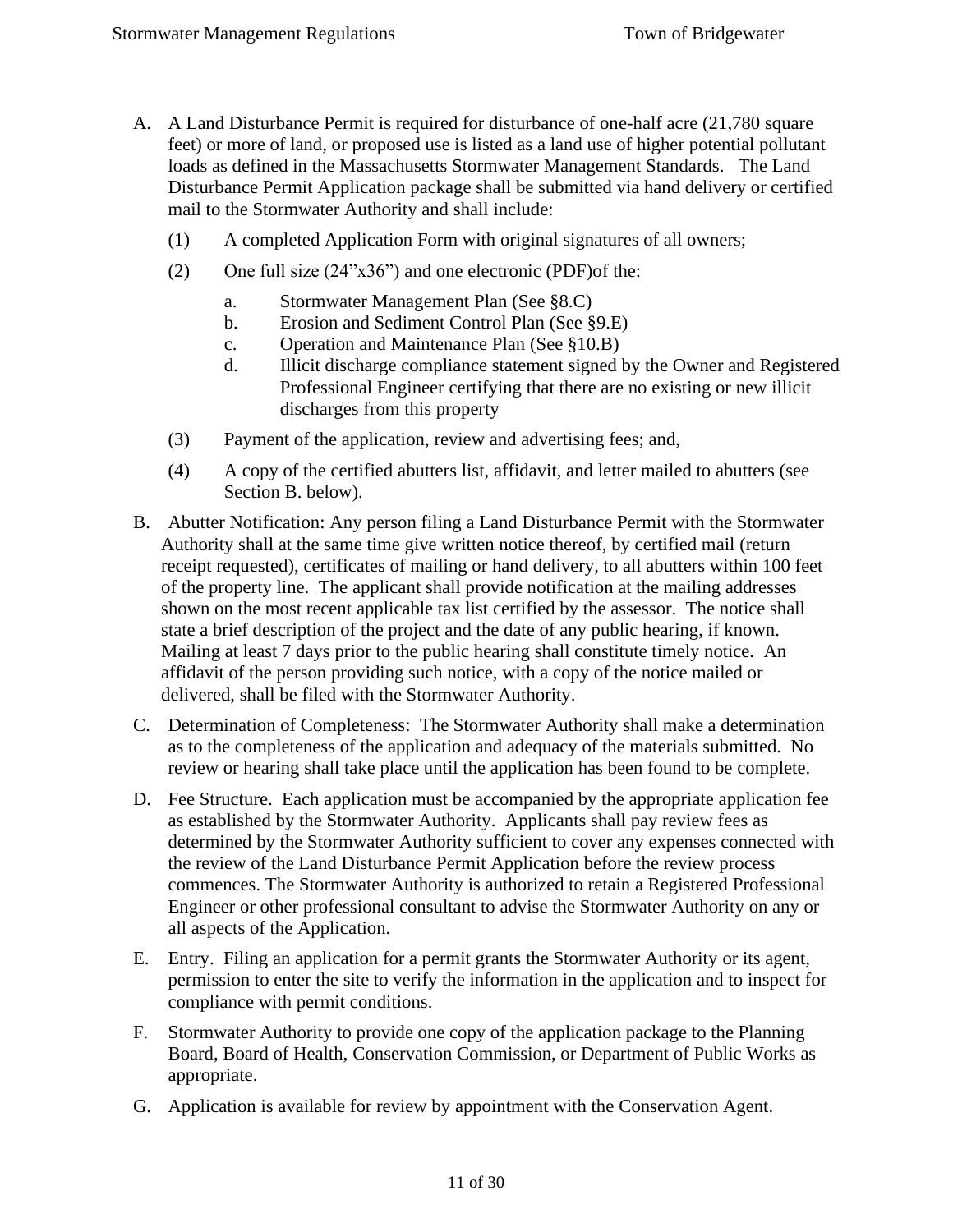- A. A Land Disturbance Permit is required for disturbance of one-half acre (21,780 square feet) or more of land, or proposed use is listed as a land use of higher potential pollutant loads as defined in the Massachusetts Stormwater Management Standards. The Land Disturbance Permit Application package shall be submitted via hand delivery or certified mail to the Stormwater Authority and shall include:
	- (1) A completed Application Form with original signatures of all owners;
	- (2) One full size (24"x36") and one electronic (PDF)of the:
		- a. Stormwater Management Plan (See §8.C)
		- b. Erosion and Sediment Control Plan (See §9.E)
		- c. Operation and Maintenance Plan (See §10.B)
		- d. Illicit discharge compliance statement signed by the Owner and Registered Professional Engineer certifying that there are no existing or new illicit discharges from this property
	- (3) Payment of the application, review and advertising fees; and,
	- (4) A copy of the certified abutters list, affidavit, and letter mailed to abutters (see Section B. below).
- B. Abutter Notification: Any person filing a Land Disturbance Permit with the Stormwater Authority shall at the same time give written notice thereof, by certified mail (return receipt requested), certificates of mailing or hand delivery, to all abutters within 100 feet of the property line. The applicant shall provide notification at the mailing addresses shown on the most recent applicable tax list certified by the assessor. The notice shall state a brief description of the project and the date of any public hearing, if known. Mailing at least 7 days prior to the public hearing shall constitute timely notice. An affidavit of the person providing such notice, with a copy of the notice mailed or delivered, shall be filed with the Stormwater Authority.
- C. Determination of Completeness: The Stormwater Authority shall make a determination as to the completeness of the application and adequacy of the materials submitted. No review or hearing shall take place until the application has been found to be complete.
- D. Fee Structure. Each application must be accompanied by the appropriate application fee as established by the Stormwater Authority. Applicants shall pay review fees as determined by the Stormwater Authority sufficient to cover any expenses connected with the review of the Land Disturbance Permit Application before the review process commences. The Stormwater Authority is authorized to retain a Registered Professional Engineer or other professional consultant to advise the Stormwater Authority on any or all aspects of the Application.
- E. Entry. Filing an application for a permit grants the Stormwater Authority or its agent, permission to enter the site to verify the information in the application and to inspect for compliance with permit conditions.
- F. Stormwater Authority to provide one copy of the application package to the Planning Board, Board of Health, Conservation Commission, or Department of Public Works as appropriate.
- G. Application is available for review by appointment with the Conservation Agent.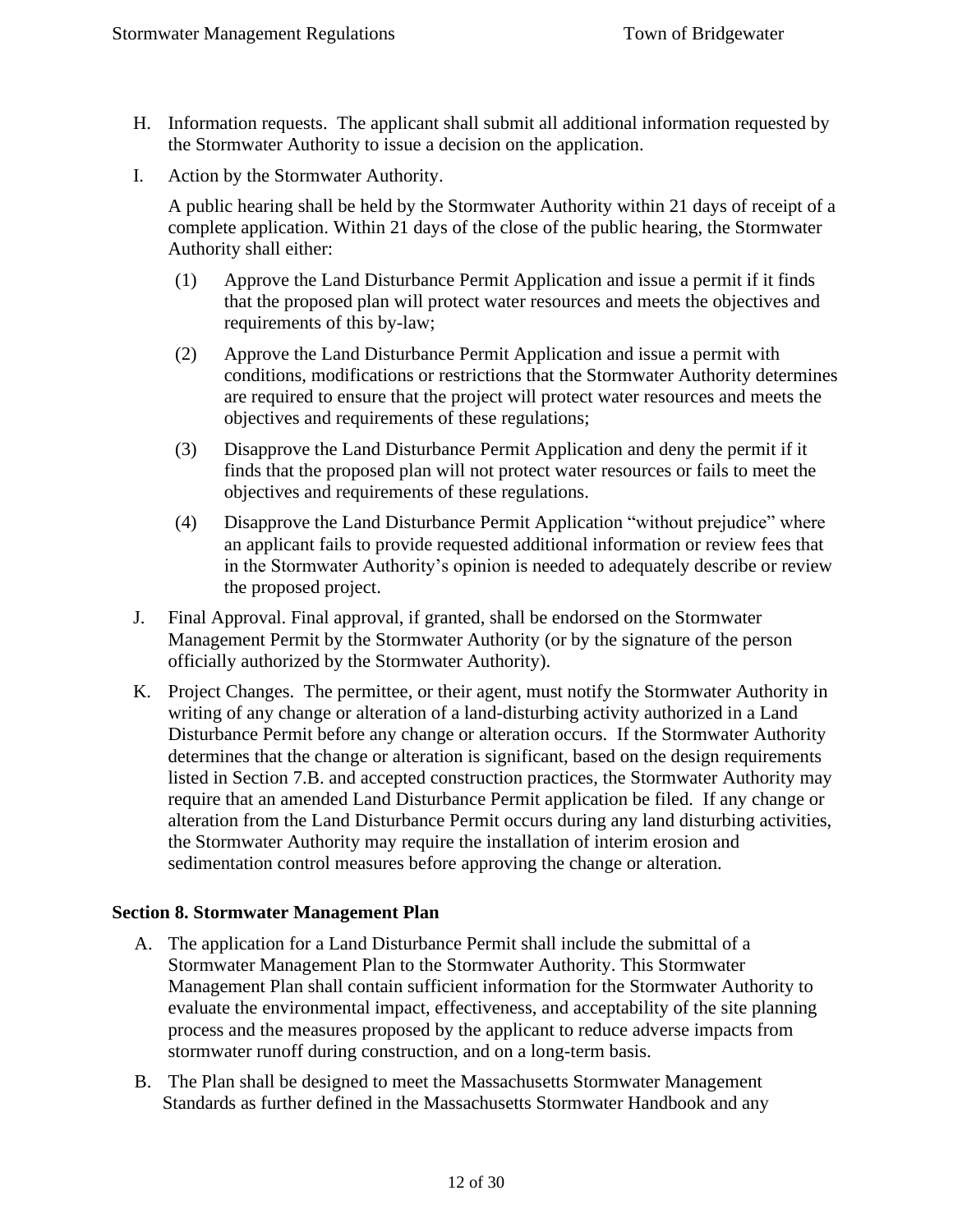- H. Information requests. The applicant shall submit all additional information requested by the Stormwater Authority to issue a decision on the application.
- I. Action by the Stormwater Authority.

A public hearing shall be held by the Stormwater Authority within 21 days of receipt of a complete application. Within 21 days of the close of the public hearing, the Stormwater Authority shall either:

- (1) Approve the Land Disturbance Permit Application and issue a permit if it finds that the proposed plan will protect water resources and meets the objectives and requirements of this by-law;
- (2) Approve the Land Disturbance Permit Application and issue a permit with conditions, modifications or restrictions that the Stormwater Authority determines are required to ensure that the project will protect water resources and meets the objectives and requirements of these regulations;
- (3) Disapprove the Land Disturbance Permit Application and deny the permit if it finds that the proposed plan will not protect water resources or fails to meet the objectives and requirements of these regulations.
- (4) Disapprove the Land Disturbance Permit Application "without prejudice" where an applicant fails to provide requested additional information or review fees that in the Stormwater Authority's opinion is needed to adequately describe or review the proposed project.
- J. Final Approval. Final approval, if granted, shall be endorsed on the Stormwater Management Permit by the Stormwater Authority (or by the signature of the person officially authorized by the Stormwater Authority).
- K. Project Changes. The permittee, or their agent, must notify the Stormwater Authority in writing of any change or alteration of a land-disturbing activity authorized in a Land Disturbance Permit before any change or alteration occurs. If the Stormwater Authority determines that the change or alteration is significant, based on the design requirements listed in Section 7.B. and accepted construction practices, the Stormwater Authority may require that an amended Land Disturbance Permit application be filed. If any change or alteration from the Land Disturbance Permit occurs during any land disturbing activities, the Stormwater Authority may require the installation of interim erosion and sedimentation control measures before approving the change or alteration.

#### <span id="page-11-0"></span>**Section 8. Stormwater Management Plan**

- A. The application for a Land Disturbance Permit shall include the submittal of a Stormwater Management Plan to the Stormwater Authority. This Stormwater Management Plan shall contain sufficient information for the Stormwater Authority to evaluate the environmental impact, effectiveness, and acceptability of the site planning process and the measures proposed by the applicant to reduce adverse impacts from stormwater runoff during construction, and on a long-term basis.
- B. The Plan shall be designed to meet the Massachusetts Stormwater Management Standards as further defined in the Massachusetts Stormwater Handbook and any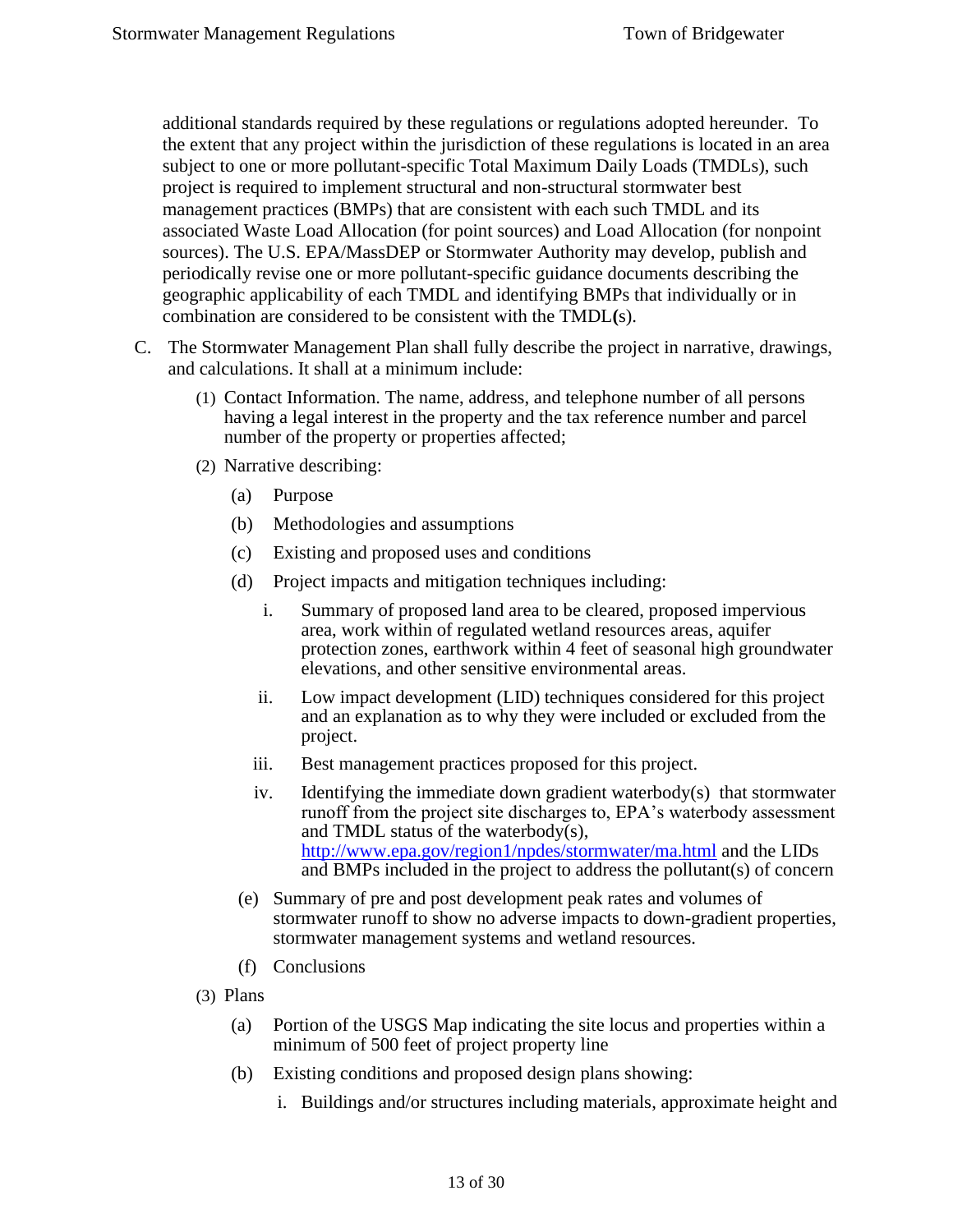additional standards required by these regulations or regulations adopted hereunder. To the extent that any project within the jurisdiction of these regulations is located in an area subject to one or more pollutant-specific Total Maximum Daily Loads (TMDLs), such project is required to implement structural and non-structural stormwater best management practices (BMPs) that are consistent with each such TMDL and its associated Waste Load Allocation (for point sources) and Load Allocation (for nonpoint sources). The U.S. EPA/MassDEP or Stormwater Authority may develop, publish and periodically revise one or more pollutant-specific guidance documents describing the geographic applicability of each TMDL and identifying BMPs that individually or in combination are considered to be consistent with the TMDL**(**s).

- C. The Stormwater Management Plan shall fully describe the project in narrative, drawings, and calculations. It shall at a minimum include:
	- (1) Contact Information. The name, address, and telephone number of all persons having a legal interest in the property and the tax reference number and parcel number of the property or properties affected;
	- (2) Narrative describing:
		- (a) Purpose
		- (b) Methodologies and assumptions
		- (c) Existing and proposed uses and conditions
		- (d) Project impacts and mitigation techniques including:
			- i. Summary of proposed land area to be cleared, proposed impervious area, work within of regulated wetland resources areas, aquifer protection zones, earthwork within 4 feet of seasonal high groundwater elevations, and other sensitive environmental areas.
			- ii. Low impact development (LID) techniques considered for this project and an explanation as to why they were included or excluded from the project.
			- iii. Best management practices proposed for this project.
			- iv. Identifying the immediate down gradient waterbody(s) that stormwater runoff from the project site discharges to, EPA's waterbody assessment and TMDL status of the waterbody(s), <http://www.epa.gov/region1/npdes/stormwater/ma.html> and the LIDs and BMPs included in the project to address the pollutant(s) of concern
		- (e) Summary of pre and post development peak rates and volumes of stormwater runoff to show no adverse impacts to down-gradient properties, stormwater management systems and wetland resources.
		- (f) Conclusions
	- (3) Plans
		- (a) Portion of the USGS Map indicating the site locus and properties within a minimum of 500 feet of project property line
		- (b) Existing conditions and proposed design plans showing:
			- i. Buildings and/or structures including materials, approximate height and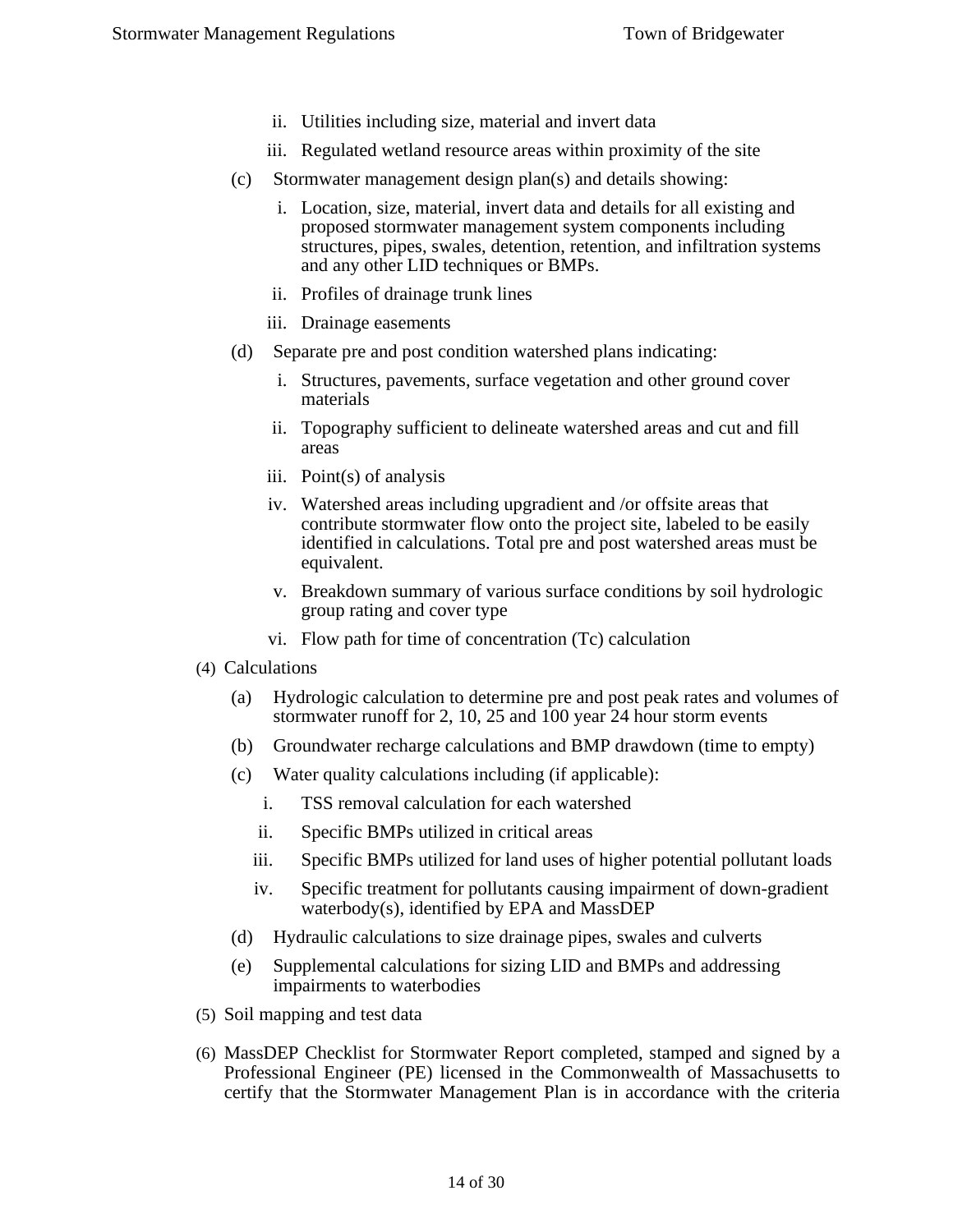- ii. Utilities including size, material and invert data
- iii. Regulated wetland resource areas within proximity of the site
- (c) Stormwater management design plan(s) and details showing:
	- i. Location, size, material, invert data and details for all existing and proposed stormwater management system components including structures, pipes, swales, detention, retention, and infiltration systems and any other LID techniques or BMPs.
	- ii. Profiles of drainage trunk lines
	- iii. Drainage easements
- (d) Separate pre and post condition watershed plans indicating:
	- i. Structures, pavements, surface vegetation and other ground cover materials
	- ii. Topography sufficient to delineate watershed areas and cut and fill areas
	- iii. Point(s) of analysis
	- iv. Watershed areas including upgradient and /or offsite areas that contribute stormwater flow onto the project site, labeled to be easily identified in calculations. Total pre and post watershed areas must be equivalent.
	- v. Breakdown summary of various surface conditions by soil hydrologic group rating and cover type
	- vi. Flow path for time of concentration (Tc) calculation
- (4) Calculations
	- (a) Hydrologic calculation to determine pre and post peak rates and volumes of stormwater runoff for 2, 10, 25 and 100 year 24 hour storm events
	- (b) Groundwater recharge calculations and BMP drawdown (time to empty)
	- (c) Water quality calculations including (if applicable):
		- i. TSS removal calculation for each watershed
		- ii. Specific BMPs utilized in critical areas
		- iii. Specific BMPs utilized for land uses of higher potential pollutant loads
		- iv. Specific treatment for pollutants causing impairment of down-gradient waterbody(s), identified by EPA and MassDEP
	- (d) Hydraulic calculations to size drainage pipes, swales and culverts
	- (e) Supplemental calculations for sizing LID and BMPs and addressing impairments to waterbodies
- (5) Soil mapping and test data
- (6) MassDEP Checklist for Stormwater Report completed, stamped and signed by a Professional Engineer (PE) licensed in the Commonwealth of Massachusetts to certify that the Stormwater Management Plan is in accordance with the criteria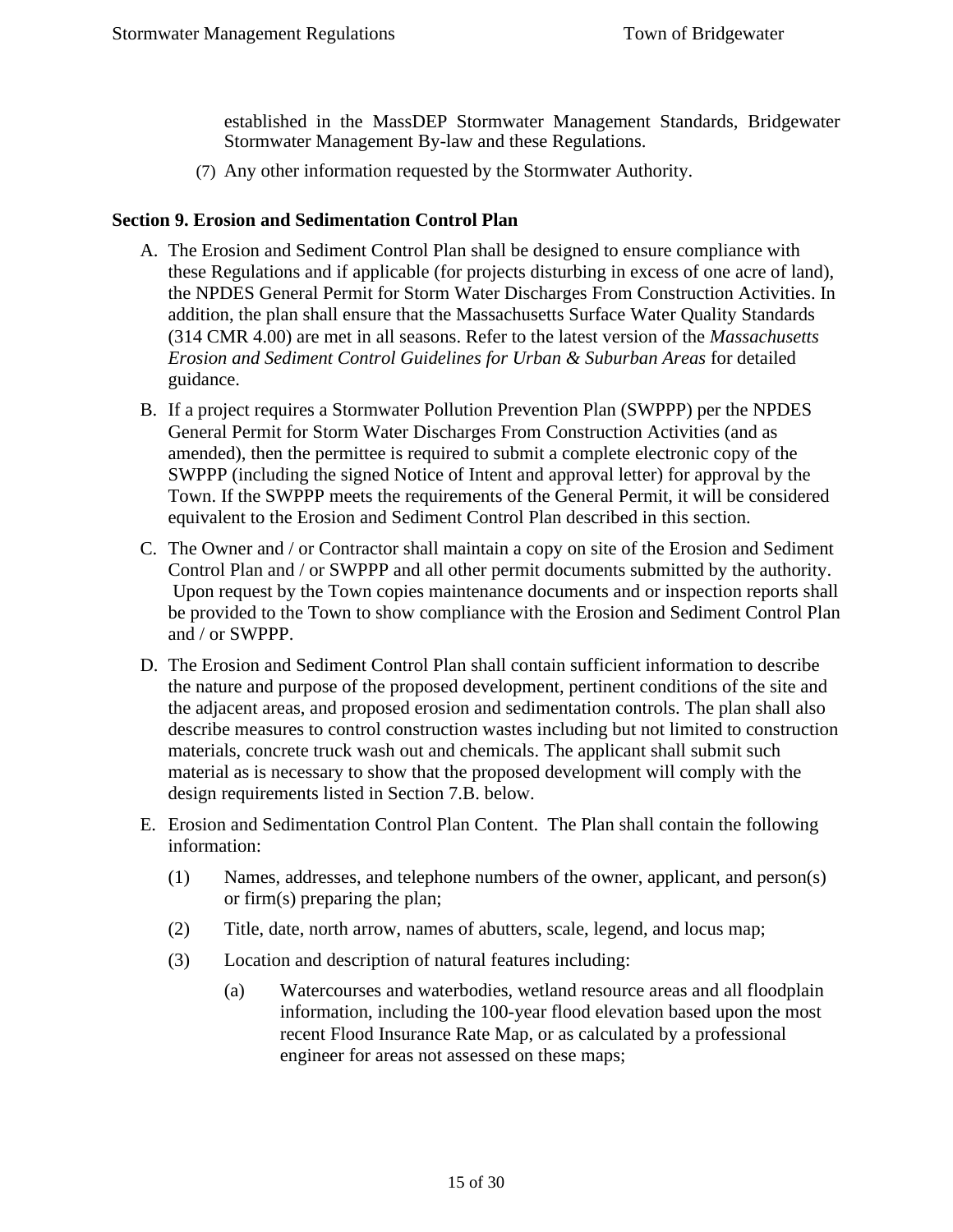established in the MassDEP Stormwater Management Standards, Bridgewater Stormwater Management By-law and these Regulations.

(7) Any other information requested by the Stormwater Authority.

#### <span id="page-14-0"></span>**Section 9. Erosion and Sedimentation Control Plan**

- A. The Erosion and Sediment Control Plan shall be designed to ensure compliance with these Regulations and if applicable (for projects disturbing in excess of one acre of land), the NPDES General Permit for Storm Water Discharges From Construction Activities. In addition, the plan shall ensure that the Massachusetts Surface Water Quality Standards (314 CMR 4.00) are met in all seasons. Refer to the latest version of the *Massachusetts Erosion and Sediment Control Guidelines for Urban & Suburban Areas* for detailed guidance.
- B. If a project requires a Stormwater Pollution Prevention Plan (SWPPP) per the NPDES General Permit for Storm Water Discharges From Construction Activities (and as amended), then the permittee is required to submit a complete electronic copy of the SWPPP (including the signed Notice of Intent and approval letter) for approval by the Town. If the SWPPP meets the requirements of the General Permit, it will be considered equivalent to the Erosion and Sediment Control Plan described in this section.
- C. The Owner and / or Contractor shall maintain a copy on site of the Erosion and Sediment Control Plan and / or SWPPP and all other permit documents submitted by the authority. Upon request by the Town copies maintenance documents and or inspection reports shall be provided to the Town to show compliance with the Erosion and Sediment Control Plan and / or SWPPP.
- D. The Erosion and Sediment Control Plan shall contain sufficient information to describe the nature and purpose of the proposed development, pertinent conditions of the site and the adjacent areas, and proposed erosion and sedimentation controls. The plan shall also describe measures to control construction wastes including but not limited to construction materials, concrete truck wash out and chemicals. The applicant shall submit such material as is necessary to show that the proposed development will comply with the design requirements listed in Section 7.B. below.
- E. Erosion and Sedimentation Control Plan Content. The Plan shall contain the following information:
	- (1) Names, addresses, and telephone numbers of the owner, applicant, and person(s) or firm(s) preparing the plan;
	- (2) Title, date, north arrow, names of abutters, scale, legend, and locus map;
	- (3) Location and description of natural features including:
		- (a) Watercourses and waterbodies, wetland resource areas and all floodplain information, including the 100-year flood elevation based upon the most recent Flood Insurance Rate Map, or as calculated by a professional engineer for areas not assessed on these maps;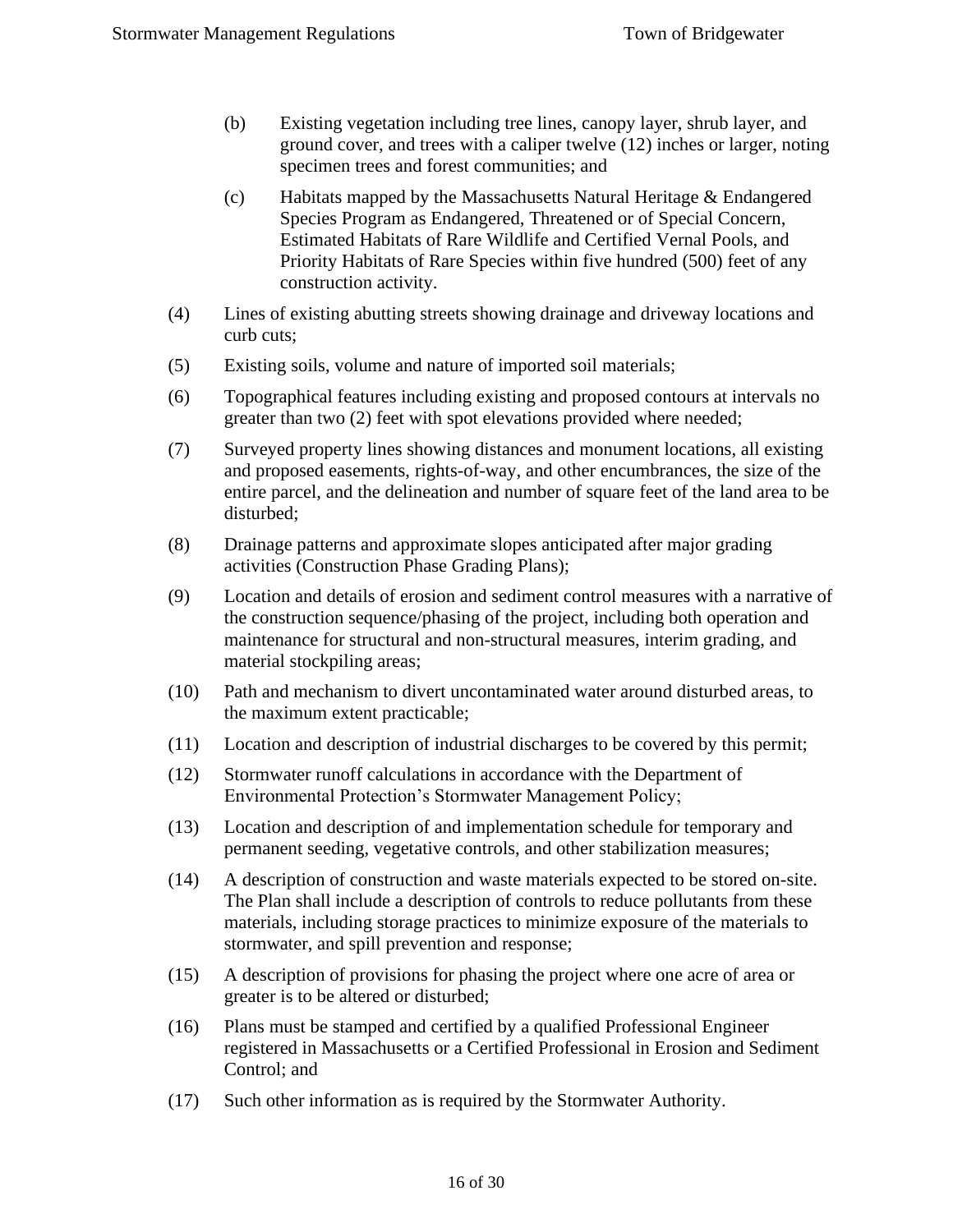- (b) Existing vegetation including tree lines, canopy layer, shrub layer, and ground cover, and trees with a caliper twelve (12) inches or larger, noting specimen trees and forest communities; and
- (c) Habitats mapped by the Massachusetts Natural Heritage & Endangered Species Program as Endangered, Threatened or of Special Concern, Estimated Habitats of Rare Wildlife and Certified Vernal Pools, and Priority Habitats of Rare Species within five hundred (500) feet of any construction activity.
- (4) Lines of existing abutting streets showing drainage and driveway locations and curb cuts;
- (5) Existing soils, volume and nature of imported soil materials;
- (6) Topographical features including existing and proposed contours at intervals no greater than two (2) feet with spot elevations provided where needed;
- (7) Surveyed property lines showing distances and monument locations, all existing and proposed easements, rights-of-way, and other encumbrances, the size of the entire parcel, and the delineation and number of square feet of the land area to be disturbed;
- (8) Drainage patterns and approximate slopes anticipated after major grading activities (Construction Phase Grading Plans);
- (9) Location and details of erosion and sediment control measures with a narrative of the construction sequence/phasing of the project, including both operation and maintenance for structural and non-structural measures, interim grading, and material stockpiling areas;
- (10) Path and mechanism to divert uncontaminated water around disturbed areas, to the maximum extent practicable;
- (11) Location and description of industrial discharges to be covered by this permit;
- (12) Stormwater runoff calculations in accordance with the Department of Environmental Protection's Stormwater Management Policy;
- (13) Location and description of and implementation schedule for temporary and permanent seeding, vegetative controls, and other stabilization measures;
- (14) A description of construction and waste materials expected to be stored on-site. The Plan shall include a description of controls to reduce pollutants from these materials, including storage practices to minimize exposure of the materials to stormwater, and spill prevention and response;
- (15) A description of provisions for phasing the project where one acre of area or greater is to be altered or disturbed;
- (16) Plans must be stamped and certified by a qualified Professional Engineer registered in Massachusetts or a Certified Professional in Erosion and Sediment Control; and
- (17) Such other information as is required by the Stormwater Authority.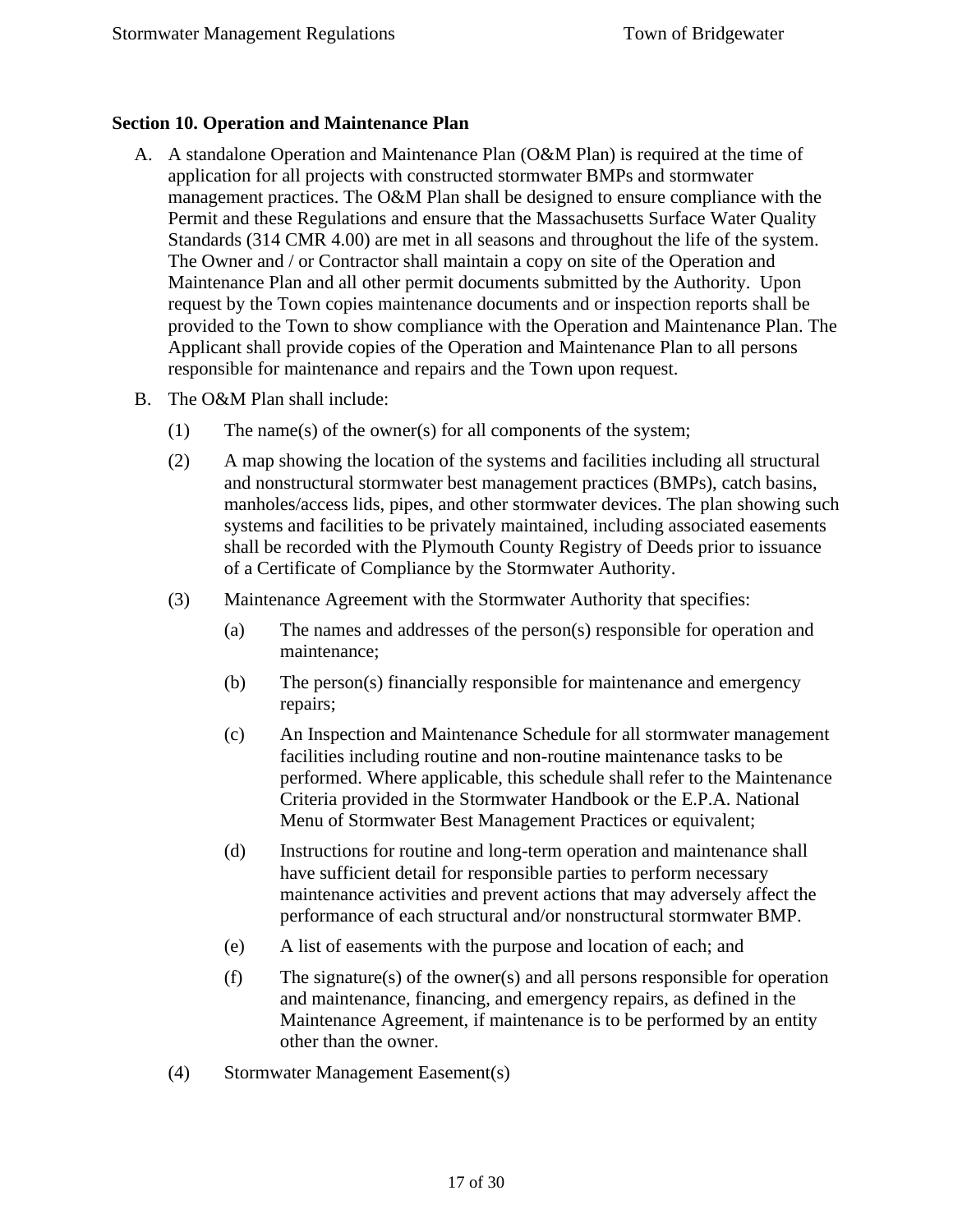#### <span id="page-16-0"></span>**Section 10. Operation and Maintenance Plan**

- A. A standalone Operation and Maintenance Plan (O&M Plan) is required at the time of application for all projects with constructed stormwater BMPs and stormwater management practices. The O&M Plan shall be designed to ensure compliance with the Permit and these Regulations and ensure that the Massachusetts Surface Water Quality Standards (314 CMR 4.00) are met in all seasons and throughout the life of the system. The Owner and / or Contractor shall maintain a copy on site of the Operation and Maintenance Plan and all other permit documents submitted by the Authority. Upon request by the Town copies maintenance documents and or inspection reports shall be provided to the Town to show compliance with the Operation and Maintenance Plan. The Applicant shall provide copies of the Operation and Maintenance Plan to all persons responsible for maintenance and repairs and the Town upon request.
- B. The O&M Plan shall include:
	- (1) The name(s) of the owner(s) for all components of the system;
	- (2) A map showing the location of the systems and facilities including all structural and nonstructural stormwater best management practices (BMPs), catch basins, manholes/access lids, pipes, and other stormwater devices. The plan showing such systems and facilities to be privately maintained, including associated easements shall be recorded with the Plymouth County Registry of Deeds prior to issuance of a Certificate of Compliance by the Stormwater Authority.
	- (3) Maintenance Agreement with the Stormwater Authority that specifies:
		- (a) The names and addresses of the person(s) responsible for operation and maintenance;
		- (b) The person(s) financially responsible for maintenance and emergency repairs;
		- (c) An Inspection and Maintenance Schedule for all stormwater management facilities including routine and non-routine maintenance tasks to be performed. Where applicable, this schedule shall refer to the Maintenance Criteria provided in the Stormwater Handbook or the E.P.A. National Menu of Stormwater Best Management Practices or equivalent;
		- (d) Instructions for routine and long-term operation and maintenance shall have sufficient detail for responsible parties to perform necessary maintenance activities and prevent actions that may adversely affect the performance of each structural and/or nonstructural stormwater BMP.
		- (e) A list of easements with the purpose and location of each; and
		- (f) The signature(s) of the owner(s) and all persons responsible for operation and maintenance, financing, and emergency repairs, as defined in the Maintenance Agreement, if maintenance is to be performed by an entity other than the owner.
	- (4) Stormwater Management Easement(s)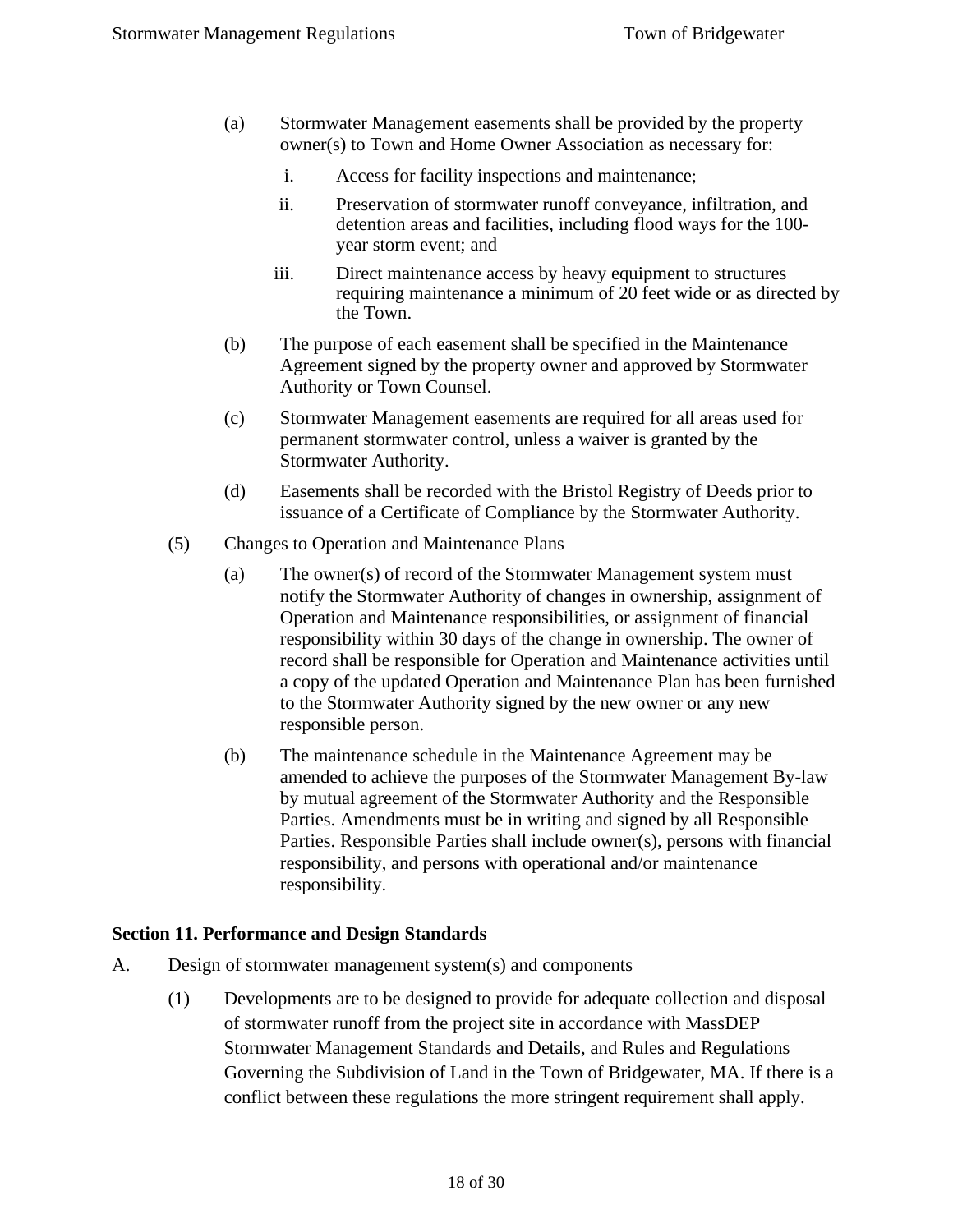- (a) Stormwater Management easements shall be provided by the property owner(s) to Town and Home Owner Association as necessary for:
	- i. Access for facility inspections and maintenance;
	- ii. Preservation of stormwater runoff conveyance, infiltration, and detention areas and facilities, including flood ways for the 100 year storm event; and
	- iii. Direct maintenance access by heavy equipment to structures requiring maintenance a minimum of 20 feet wide or as directed by the Town.
- (b) The purpose of each easement shall be specified in the Maintenance Agreement signed by the property owner and approved by Stormwater Authority or Town Counsel.
- (c) Stormwater Management easements are required for all areas used for permanent stormwater control, unless a waiver is granted by the Stormwater Authority.
- (d) Easements shall be recorded with the Bristol Registry of Deeds prior to issuance of a Certificate of Compliance by the Stormwater Authority.
- (5) Changes to Operation and Maintenance Plans
	- (a) The owner(s) of record of the Stormwater Management system must notify the Stormwater Authority of changes in ownership, assignment of Operation and Maintenance responsibilities, or assignment of financial responsibility within 30 days of the change in ownership. The owner of record shall be responsible for Operation and Maintenance activities until a copy of the updated Operation and Maintenance Plan has been furnished to the Stormwater Authority signed by the new owner or any new responsible person.
	- (b) The maintenance schedule in the Maintenance Agreement may be amended to achieve the purposes of the Stormwater Management By-law by mutual agreement of the Stormwater Authority and the Responsible Parties. Amendments must be in writing and signed by all Responsible Parties. Responsible Parties shall include owner(s), persons with financial responsibility, and persons with operational and/or maintenance responsibility.

#### <span id="page-17-0"></span>**Section 11. Performance and Design Standards**

- A. Design of stormwater management system(s) and components
	- (1) Developments are to be designed to provide for adequate collection and disposal of stormwater runoff from the project site in accordance with MassDEP Stormwater Management Standards and Details, and Rules and Regulations Governing the Subdivision of Land in the Town of Bridgewater, MA. If there is a conflict between these regulations the more stringent requirement shall apply.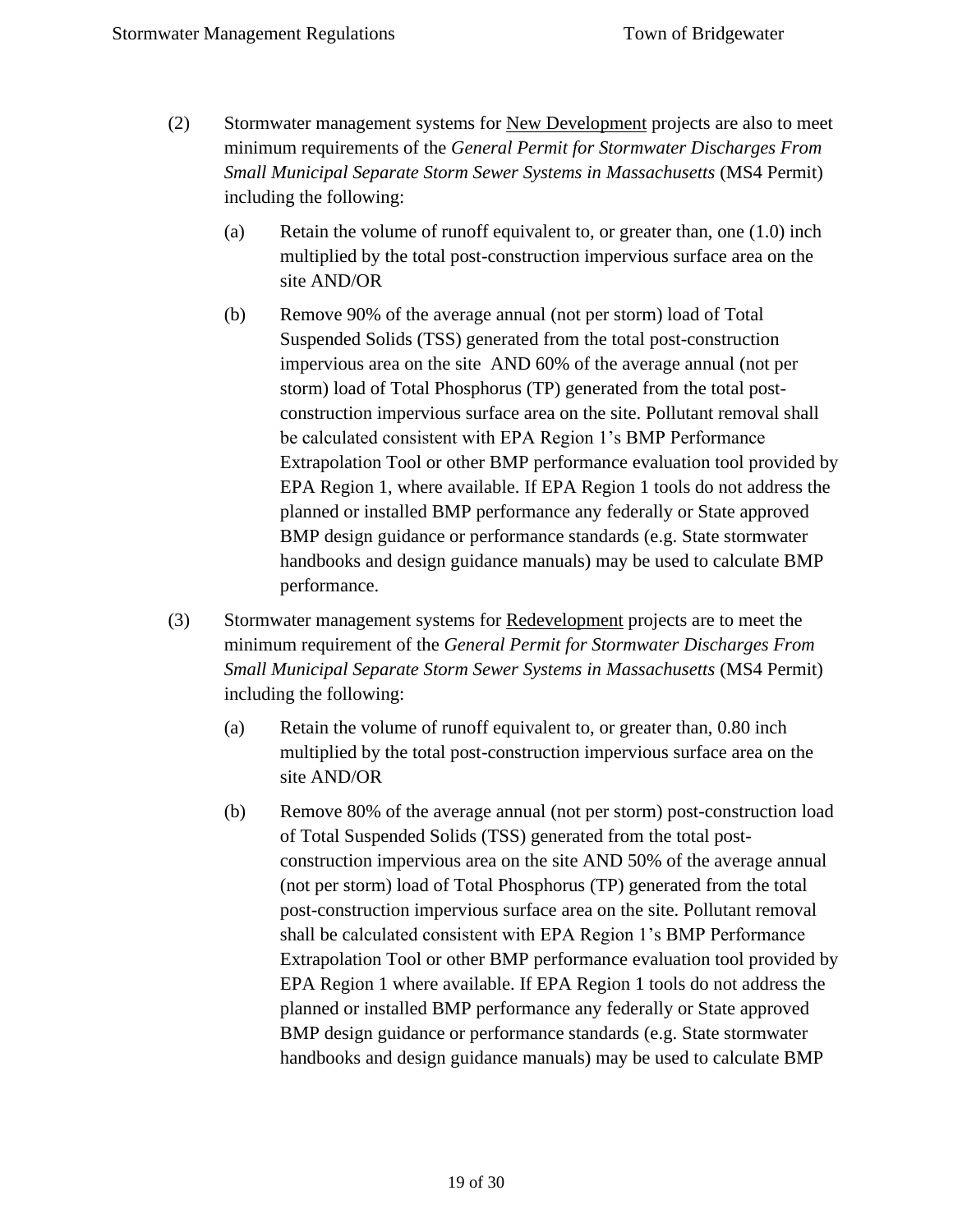- (2) Stormwater management systems for New Development projects are also to meet minimum requirements of the *General Permit for Stormwater Discharges From Small Municipal Separate Storm Sewer Systems in Massachusetts* (MS4 Permit) including the following:
	- (a) Retain the volume of runoff equivalent to, or greater than, one (1.0) inch multiplied by the total post-construction impervious surface area on the site AND/OR
	- (b) Remove 90% of the average annual (not per storm) load of Total Suspended Solids (TSS) generated from the total post-construction impervious area on the site AND 60% of the average annual (not per storm) load of Total Phosphorus (TP) generated from the total postconstruction impervious surface area on the site. Pollutant removal shall be calculated consistent with EPA Region 1's BMP Performance Extrapolation Tool or other BMP performance evaluation tool provided by EPA Region 1, where available. If EPA Region 1 tools do not address the planned or installed BMP performance any federally or State approved BMP design guidance or performance standards (e.g. State stormwater handbooks and design guidance manuals) may be used to calculate BMP performance.
- (3) Stormwater management systems for Redevelopment projects are to meet the minimum requirement of the *General Permit for Stormwater Discharges From Small Municipal Separate Storm Sewer Systems in Massachusetts* (MS4 Permit) including the following:
	- (a) Retain the volume of runoff equivalent to, or greater than, 0.80 inch multiplied by the total post-construction impervious surface area on the site AND/OR
	- (b) Remove 80% of the average annual (not per storm) post-construction load of Total Suspended Solids (TSS) generated from the total postconstruction impervious area on the site AND 50% of the average annual (not per storm) load of Total Phosphorus (TP) generated from the total post-construction impervious surface area on the site. Pollutant removal shall be calculated consistent with EPA Region 1's BMP Performance Extrapolation Tool or other BMP performance evaluation tool provided by EPA Region 1 where available. If EPA Region 1 tools do not address the planned or installed BMP performance any federally or State approved BMP design guidance or performance standards (e.g. State stormwater handbooks and design guidance manuals) may be used to calculate BMP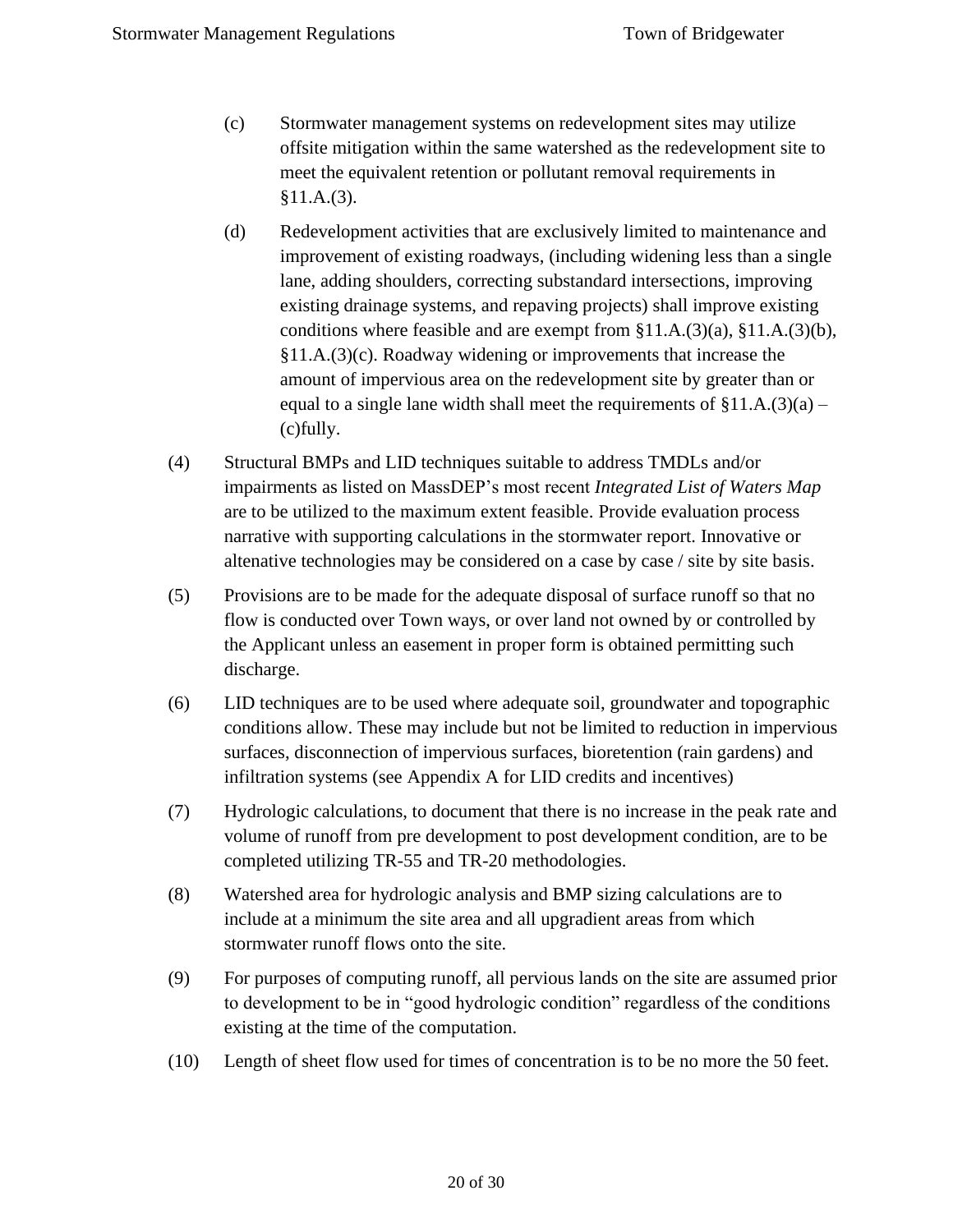- (c) Stormwater management systems on redevelopment sites may utilize offsite mitigation within the same watershed as the redevelopment site to meet the equivalent retention or pollutant removal requirements in §11.A.(3).
- (d) Redevelopment activities that are exclusively limited to maintenance and improvement of existing roadways, (including widening less than a single lane, adding shoulders, correcting substandard intersections, improving existing drainage systems, and repaving projects) shall improve existing conditions where feasible and are exempt from §11.A.(3)(a), §11.A.(3)(b), §11.A.(3)(c). Roadway widening or improvements that increase the amount of impervious area on the redevelopment site by greater than or equal to a single lane width shall meet the requirements of  $\S 11.A.(3)(a)$  – (c)fully.
- (4) Structural BMPs and LID techniques suitable to address TMDLs and/or impairments as listed on MassDEP's most recent *Integrated List of Waters Map* are to be utilized to the maximum extent feasible. Provide evaluation process narrative with supporting calculations in the stormwater report. Innovative or altenative technologies may be considered on a case by case / site by site basis.
- (5) Provisions are to be made for the adequate disposal of surface runoff so that no flow is conducted over Town ways, or over land not owned by or controlled by the Applicant unless an easement in proper form is obtained permitting such discharge.
- (6) LID techniques are to be used where adequate soil, groundwater and topographic conditions allow. These may include but not be limited to reduction in impervious surfaces, disconnection of impervious surfaces, bioretention (rain gardens) and infiltration systems (see Appendix A for LID credits and incentives)
- (7) Hydrologic calculations, to document that there is no increase in the peak rate and volume of runoff from pre development to post development condition, are to be completed utilizing TR-55 and TR-20 methodologies.
- (8) Watershed area for hydrologic analysis and BMP sizing calculations are to include at a minimum the site area and all upgradient areas from which stormwater runoff flows onto the site.
- (9) For purposes of computing runoff, all pervious lands on the site are assumed prior to development to be in "good hydrologic condition" regardless of the conditions existing at the time of the computation.
- (10) Length of sheet flow used for times of concentration is to be no more the 50 feet.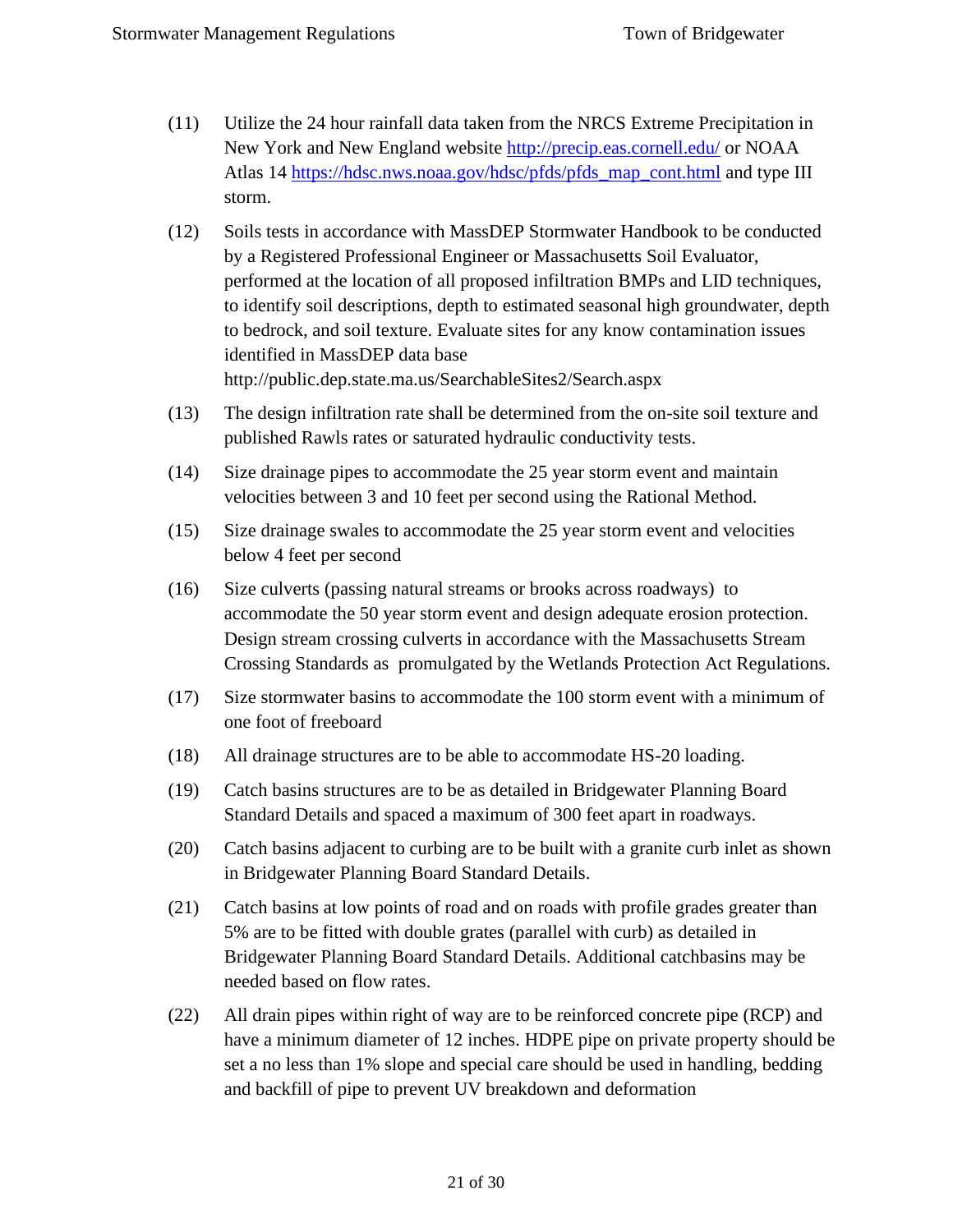- (11) Utilize the 24 hour rainfall data taken from the NRCS Extreme Precipitation in New York and New England website <http://precip.eas.cornell.edu/> or NOAA Atlas 14 [https://hdsc.nws.noaa.gov/hdsc/pfds/pfds\\_map\\_cont.html](https://hdsc.nws.noaa.gov/hdsc/pfds/pfds_map_cont.html) and type III storm.
- (12) Soils tests in accordance with MassDEP Stormwater Handbook to be conducted by a Registered Professional Engineer or Massachusetts Soil Evaluator, performed at the location of all proposed infiltration BMPs and LID techniques, to identify soil descriptions, depth to estimated seasonal high groundwater, depth to bedrock, and soil texture. Evaluate sites for any know contamination issues identified in MassDEP data base http://public.dep.state.ma.us/SearchableSites2/Search.aspx
- (13) The design infiltration rate shall be determined from the on-site soil texture and published Rawls rates or saturated hydraulic conductivity tests.
- (14) Size drainage pipes to accommodate the 25 year storm event and maintain velocities between 3 and 10 feet per second using the Rational Method.
- (15) Size drainage swales to accommodate the 25 year storm event and velocities below 4 feet per second
- (16) Size culverts (passing natural streams or brooks across roadways) to accommodate the 50 year storm event and design adequate erosion protection. Design stream crossing culverts in accordance with the Massachusetts Stream Crossing Standards as promulgated by the Wetlands Protection Act Regulations.
- (17) Size stormwater basins to accommodate the 100 storm event with a minimum of one foot of freeboard
- (18) All drainage structures are to be able to accommodate HS-20 loading.
- (19) Catch basins structures are to be as detailed in Bridgewater Planning Board Standard Details and spaced a maximum of 300 feet apart in roadways.
- (20) Catch basins adjacent to curbing are to be built with a granite curb inlet as shown in Bridgewater Planning Board Standard Details.
- (21) Catch basins at low points of road and on roads with profile grades greater than 5% are to be fitted with double grates (parallel with curb) as detailed in Bridgewater Planning Board Standard Details. Additional catchbasins may be needed based on flow rates.
- (22) All drain pipes within right of way are to be reinforced concrete pipe (RCP) and have a minimum diameter of 12 inches. HDPE pipe on private property should be set a no less than 1% slope and special care should be used in handling, bedding and backfill of pipe to prevent UV breakdown and deformation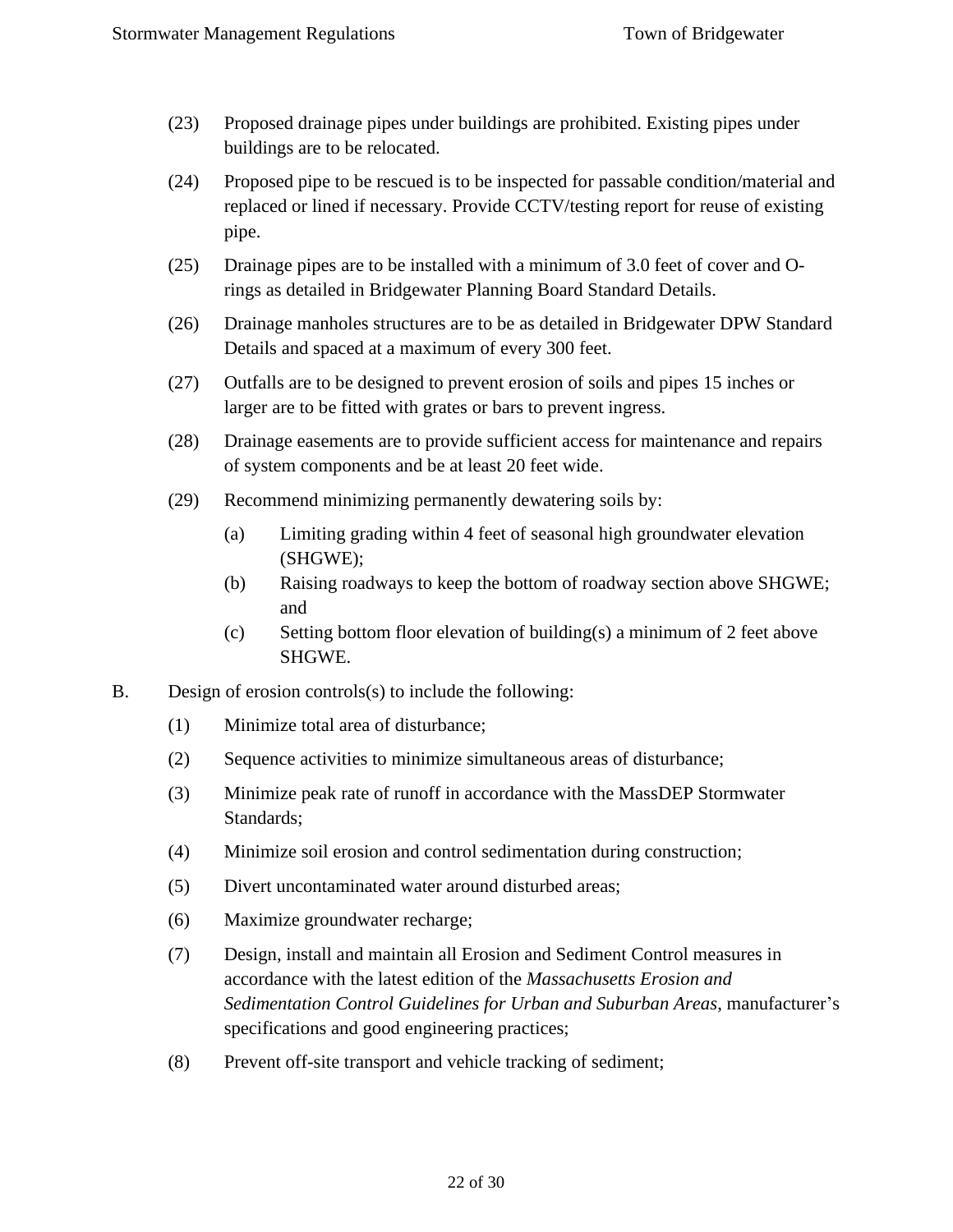- (23) Proposed drainage pipes under buildings are prohibited. Existing pipes under buildings are to be relocated.
- (24) Proposed pipe to be rescued is to be inspected for passable condition/material and replaced or lined if necessary. Provide CCTV/testing report for reuse of existing pipe.
- (25) Drainage pipes are to be installed with a minimum of 3.0 feet of cover and Orings as detailed in Bridgewater Planning Board Standard Details.
- (26) Drainage manholes structures are to be as detailed in Bridgewater DPW Standard Details and spaced at a maximum of every 300 feet.
- (27) Outfalls are to be designed to prevent erosion of soils and pipes 15 inches or larger are to be fitted with grates or bars to prevent ingress.
- (28) Drainage easements are to provide sufficient access for maintenance and repairs of system components and be at least 20 feet wide.
- (29) Recommend minimizing permanently dewatering soils by:
	- (a) Limiting grading within 4 feet of seasonal high groundwater elevation (SHGWE);
	- (b) Raising roadways to keep the bottom of roadway section above SHGWE; and
	- (c) Setting bottom floor elevation of building(s) a minimum of 2 feet above SHGWE.
- B. Design of erosion controls(s) to include the following:
	- (1) Minimize total area of disturbance;
	- (2) Sequence activities to minimize simultaneous areas of disturbance;
	- (3) Minimize peak rate of runoff in accordance with the MassDEP Stormwater Standards;
	- (4) Minimize soil erosion and control sedimentation during construction;
	- (5) Divert uncontaminated water around disturbed areas;
	- (6) Maximize groundwater recharge;
	- (7) Design, install and maintain all Erosion and Sediment Control measures in accordance with the latest edition of the *Massachusetts Erosion and Sedimentation Control Guidelines for Urban and Suburban Areas*, manufacturer's specifications and good engineering practices;
	- (8) Prevent off-site transport and vehicle tracking of sediment;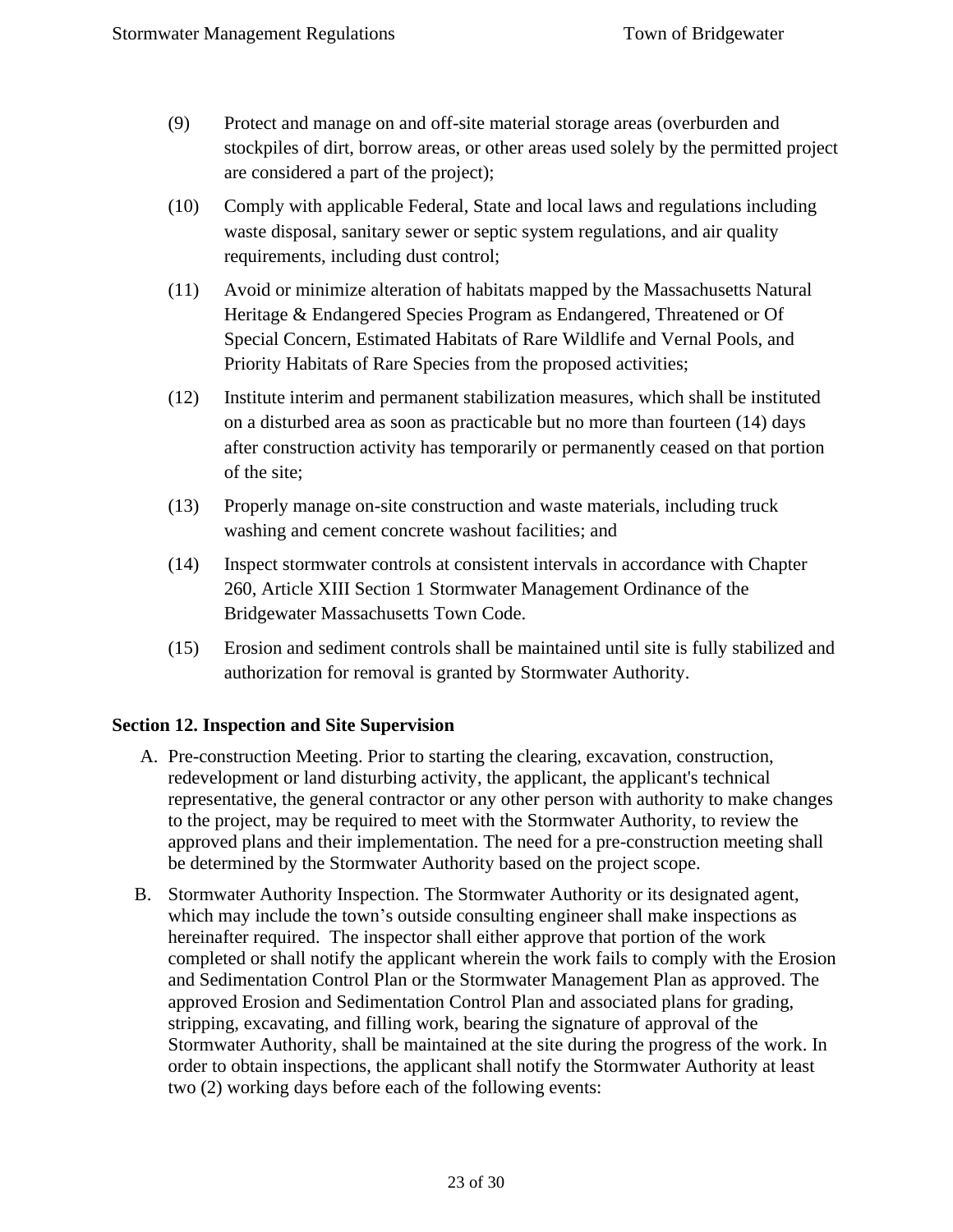- (9) Protect and manage on and off-site material storage areas (overburden and stockpiles of dirt, borrow areas, or other areas used solely by the permitted project are considered a part of the project);
- (10) Comply with applicable Federal, State and local laws and regulations including waste disposal, sanitary sewer or septic system regulations, and air quality requirements, including dust control;
- (11) Avoid or minimize alteration of habitats mapped by the Massachusetts Natural Heritage & Endangered Species Program as Endangered, Threatened or Of Special Concern, Estimated Habitats of Rare Wildlife and Vernal Pools, and Priority Habitats of Rare Species from the proposed activities;
- (12) Institute interim and permanent stabilization measures, which shall be instituted on a disturbed area as soon as practicable but no more than fourteen (14) days after construction activity has temporarily or permanently ceased on that portion of the site;
- (13) Properly manage on-site construction and waste materials, including truck washing and cement concrete washout facilities; and
- (14) Inspect stormwater controls at consistent intervals in accordance with Chapter 260, Article XIII Section 1 Stormwater Management Ordinance of the Bridgewater Massachusetts Town Code.
- (15) Erosion and sediment controls shall be maintained until site is fully stabilized and authorization for removal is granted by Stormwater Authority.

#### <span id="page-22-0"></span>**Section 12. Inspection and Site Supervision**

- A. Pre-construction Meeting. Prior to starting the clearing, excavation, construction, redevelopment or land disturbing activity, the applicant, the applicant's technical representative, the general contractor or any other person with authority to make changes to the project, may be required to meet with the Stormwater Authority, to review the approved plans and their implementation. The need for a pre-construction meeting shall be determined by the Stormwater Authority based on the project scope.
- B. Stormwater Authority Inspection. The Stormwater Authority or its designated agent, which may include the town's outside consulting engineer shall make inspections as hereinafter required. The inspector shall either approve that portion of the work completed or shall notify the applicant wherein the work fails to comply with the Erosion and Sedimentation Control Plan or the Stormwater Management Plan as approved. The approved Erosion and Sedimentation Control Plan and associated plans for grading, stripping, excavating, and filling work, bearing the signature of approval of the Stormwater Authority, shall be maintained at the site during the progress of the work. In order to obtain inspections, the applicant shall notify the Stormwater Authority at least two (2) working days before each of the following events: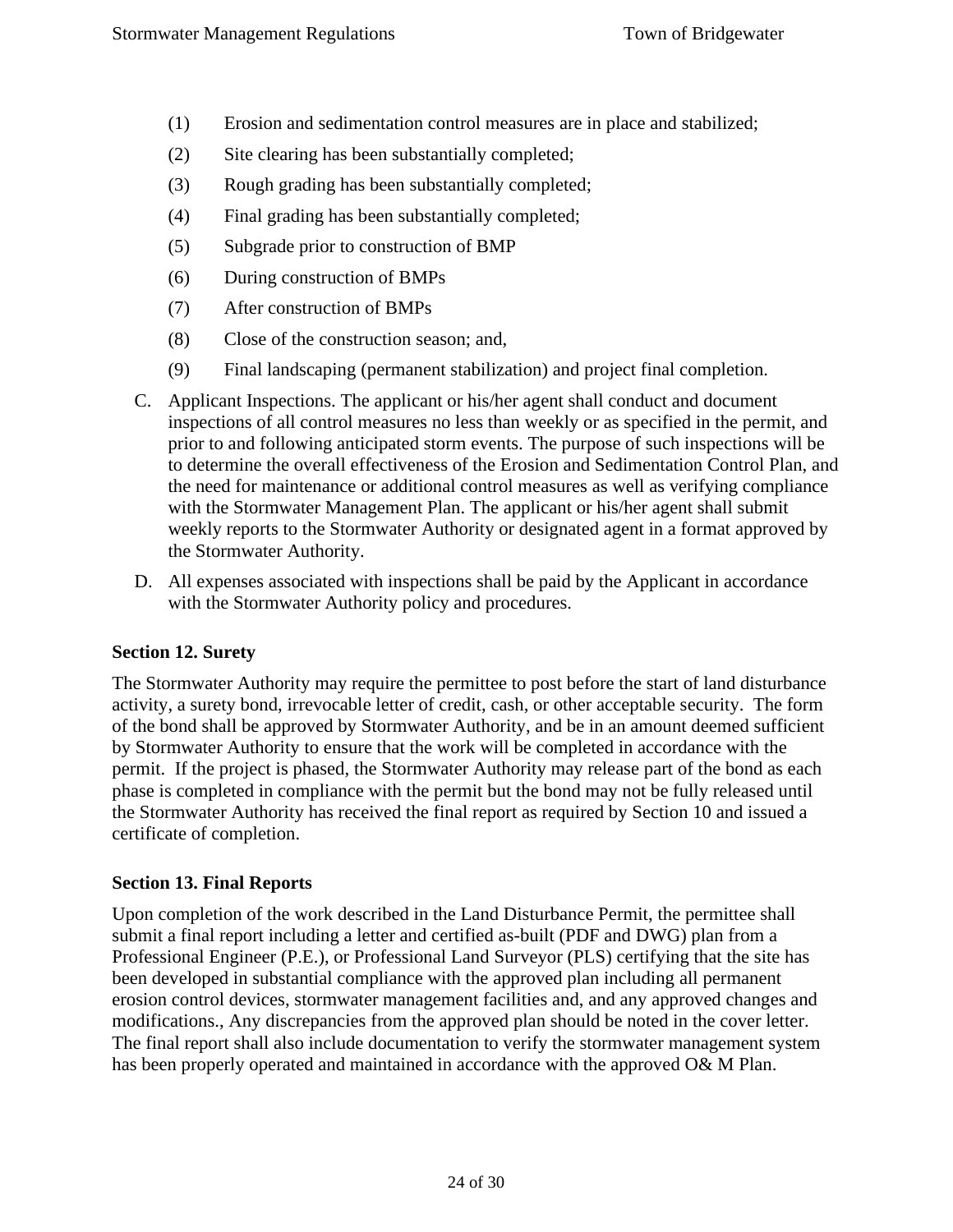- (1) Erosion and sedimentation control measures are in place and stabilized;
- (2) Site clearing has been substantially completed;
- (3) Rough grading has been substantially completed;
- (4) Final grading has been substantially completed;
- (5) Subgrade prior to construction of BMP
- (6) During construction of BMPs
- (7) After construction of BMPs
- (8) Close of the construction season; and,
- (9) Final landscaping (permanent stabilization) and project final completion.
- C. Applicant Inspections. The applicant or his/her agent shall conduct and document inspections of all control measures no less than weekly or as specified in the permit, and prior to and following anticipated storm events. The purpose of such inspections will be to determine the overall effectiveness of the Erosion and Sedimentation Control Plan, and the need for maintenance or additional control measures as well as verifying compliance with the Stormwater Management Plan. The applicant or his/her agent shall submit weekly reports to the Stormwater Authority or designated agent in a format approved by the Stormwater Authority.
- D. All expenses associated with inspections shall be paid by the Applicant in accordance with the Stormwater Authority policy and procedures.

#### <span id="page-23-0"></span>**Section 12. Surety**

The Stormwater Authority may require the permittee to post before the start of land disturbance activity, a surety bond, irrevocable letter of credit, cash, or other acceptable security. The form of the bond shall be approved by Stormwater Authority, and be in an amount deemed sufficient by Stormwater Authority to ensure that the work will be completed in accordance with the permit. If the project is phased, the Stormwater Authority may release part of the bond as each phase is completed in compliance with the permit but the bond may not be fully released until the Stormwater Authority has received the final report as required by Section 10 and issued a certificate of completion.

#### <span id="page-23-1"></span>**Section 13. Final Reports**

Upon completion of the work described in the Land Disturbance Permit, the permittee shall submit a final report including a letter and certified as-built (PDF and DWG) plan from a Professional Engineer (P.E.), or Professional Land Surveyor (PLS) certifying that the site has been developed in substantial compliance with the approved plan including all permanent erosion control devices, stormwater management facilities and, and any approved changes and modifications., Any discrepancies from the approved plan should be noted in the cover letter. The final report shall also include documentation to verify the stormwater management system has been properly operated and maintained in accordance with the approved O& M Plan.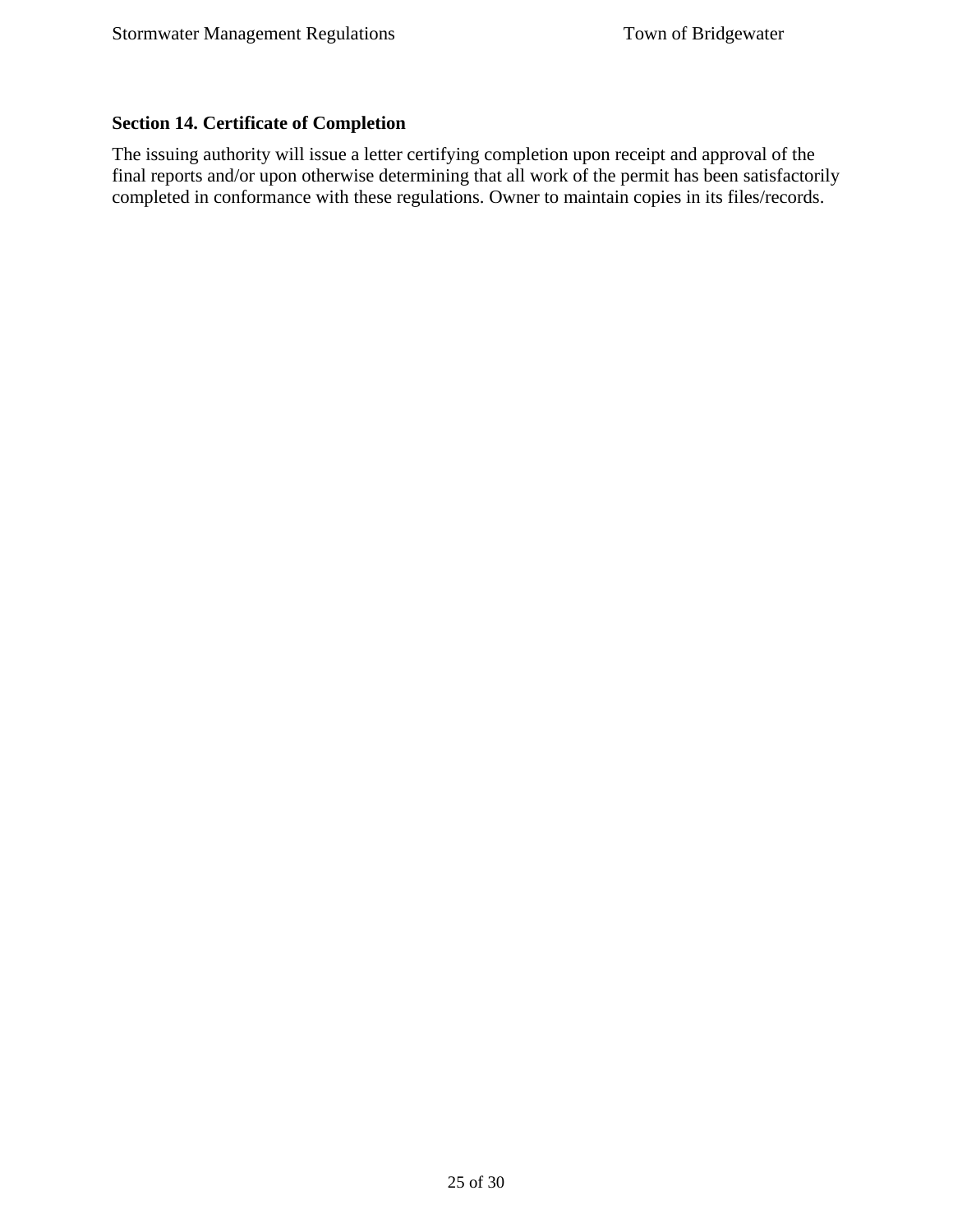## <span id="page-24-0"></span>**Section 14. Certificate of Completion**

The issuing authority will issue a letter certifying completion upon receipt and approval of the final reports and/or upon otherwise determining that all work of the permit has been satisfactorily completed in conformance with these regulations. Owner to maintain copies in its files/records.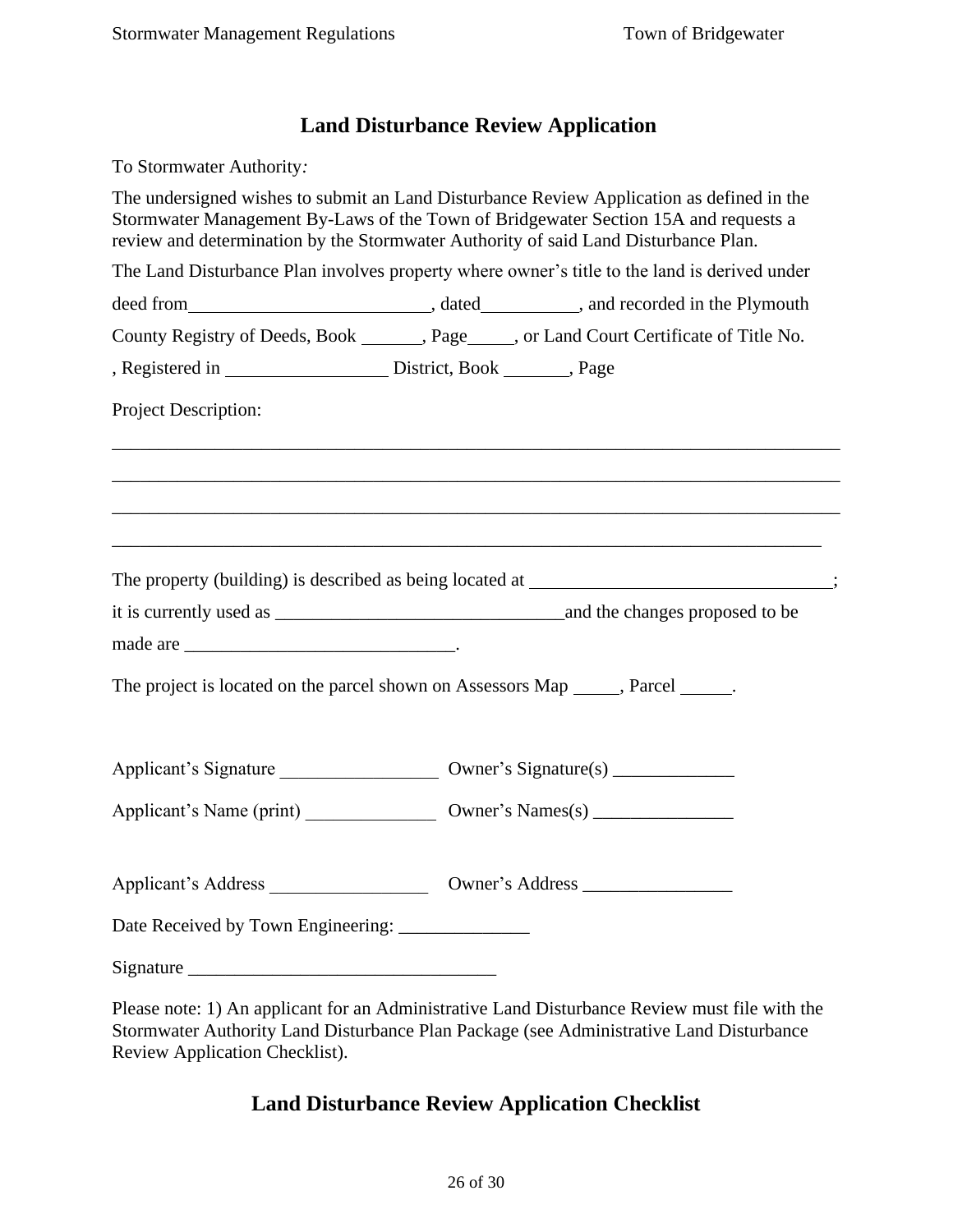# <span id="page-25-0"></span>**Land Disturbance Review Application**

To Stormwater Authority*:* The undersigned wishes to submit an Land Disturbance Review Application as defined in the Stormwater Management By-Laws of the Town of Bridgewater Section 15A and requests a review and determination by the Stormwater Authority of said Land Disturbance Plan. The Land Disturbance Plan involves property where owner's title to the land is derived under deed from , dated , and recorded in the Plymouth County Registry of Deeds, Book, Page , or Land Court Certificate of Title No. , Registered in District, Book , Page Project Description: \_\_\_\_\_\_\_\_\_\_\_\_\_\_\_\_\_\_\_\_\_\_\_\_\_\_\_\_\_\_\_\_\_\_\_\_\_\_\_\_\_\_\_\_\_\_\_\_\_\_\_\_\_\_\_\_\_\_\_\_\_\_\_\_\_\_\_\_\_\_\_\_\_\_\_\_\_\_ \_\_\_\_\_\_\_\_\_\_\_\_\_\_\_\_\_\_\_\_\_\_\_\_\_\_\_\_\_\_\_\_\_\_\_\_\_\_\_\_\_\_\_\_\_\_\_\_\_\_\_\_\_\_\_\_\_\_\_\_\_\_\_\_\_\_\_\_\_\_\_\_\_\_\_\_\_\_ \_\_\_\_\_\_\_\_\_\_\_\_\_\_\_\_\_\_\_\_\_\_\_\_\_\_\_\_\_\_\_\_\_\_\_\_\_\_\_\_\_\_\_\_\_\_\_\_\_\_\_\_\_\_\_\_\_\_\_\_\_\_\_\_\_\_\_\_\_\_\_\_\_\_\_\_\_\_ \_\_\_\_\_\_\_\_\_\_\_\_\_\_\_\_\_\_\_\_\_\_\_\_\_\_\_\_\_\_\_\_\_\_\_\_\_\_\_\_\_\_\_\_\_\_\_\_\_\_\_\_\_\_\_\_\_\_\_\_\_\_\_\_\_\_\_\_\_\_\_\_\_\_\_\_ The property (building) is described as being located at \_\_\_\_\_\_\_\_\_\_\_\_\_\_\_\_\_\_\_\_\_\_\_; it is currently used as \_\_\_\_\_\_\_\_\_\_\_\_\_\_\_\_\_\_\_\_\_\_\_\_\_\_\_\_\_\_\_and the changes proposed to be made are \_\_\_\_\_\_\_\_\_\_\_\_\_\_\_\_\_\_\_\_\_\_\_\_\_\_\_\_\_. The project is located on the parcel shown on Assessors Map, Parcel . Applicant's Signature  $\qquad \qquad \text{Owner's Signature(s)}$ Applicant's Name (print) \_\_\_\_\_\_\_\_\_\_\_\_\_\_ Owner's Names(s) \_\_\_\_\_\_\_\_\_\_\_\_\_\_\_ Applicant's Address \_\_\_\_\_\_\_\_\_\_\_\_\_\_\_\_\_ Owner's Address \_\_\_\_\_\_\_\_\_\_\_\_\_\_\_\_ Date Received by Town Engineering: Signature  $\Box$ 

<span id="page-25-1"></span>Please note: 1) An applicant for an Administrative Land Disturbance Review must file with the Stormwater Authority Land Disturbance Plan Package (see Administrative Land Disturbance Review Application Checklist).

# **Land Disturbance Review Application Checklist**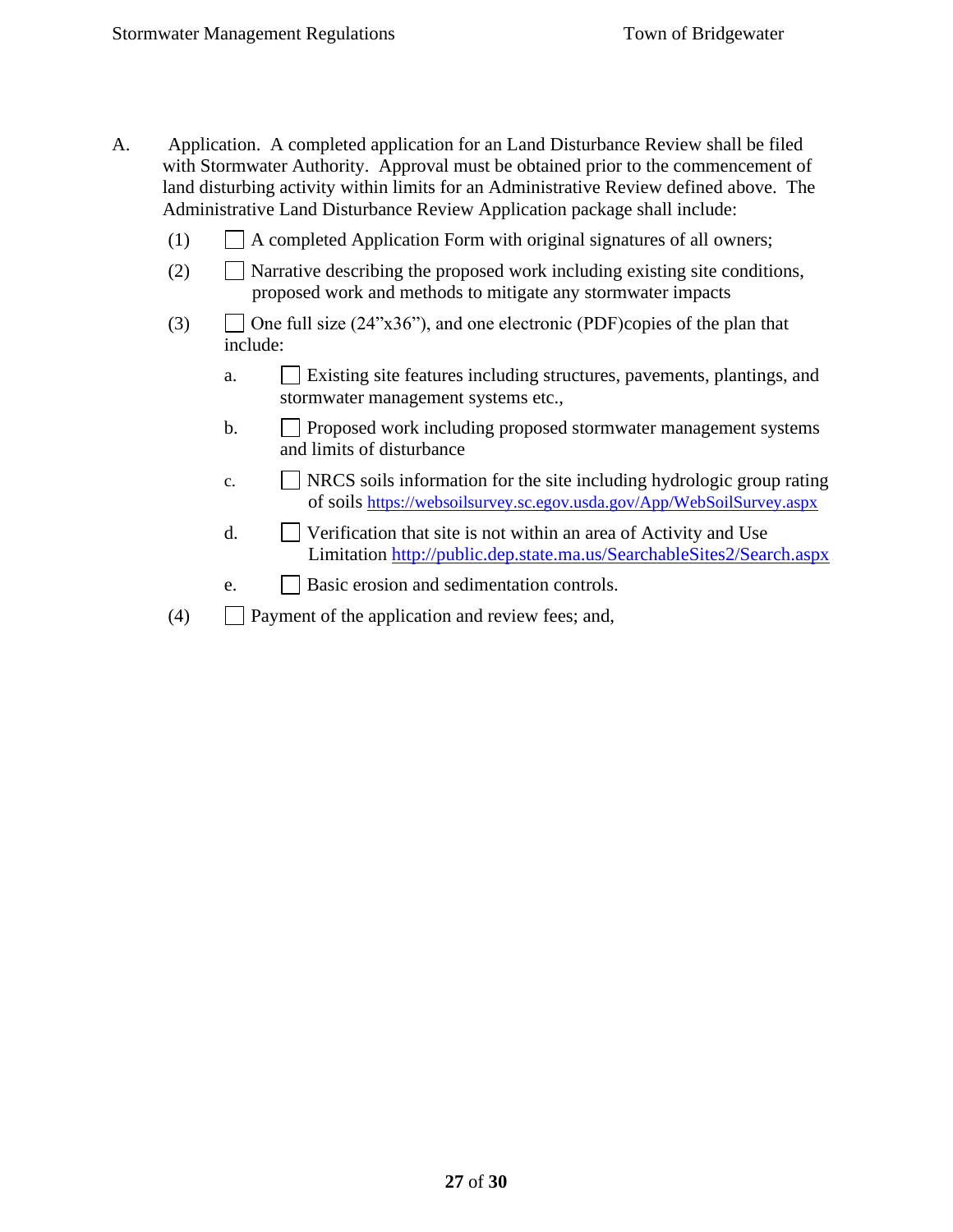- A. Application. A completed application for an Land Disturbance Review shall be filed with Stormwater Authority. Approval must be obtained prior to the commencement of land disturbing activity within limits for an Administrative Review defined above. The Administrative Land Disturbance Review Application package shall include:
	- $(1)$  A completed Application Form with original signatures of all owners;
	- (2)  $\Box$  Narrative describing the proposed work including existing site conditions, proposed work and methods to mitigate any stormwater impacts
	- (3)  $\Box$  One full size (24"x36"), and one electronic (PDF)copies of the plan that include:
		- a. Existing site features including structures, pavements, plantings, and stormwater management systems etc.,
		- b. **Proposed work including proposed stormwater management systems** and limits of disturbance
		- c.  $\Box$  NRCS soils information for the site including hydrologic group rating of soils <https://websoilsurvey.sc.egov.usda.gov/App/WebSoilSurvey.aspx>
		- d.  $\Box$  Verification that site is not within an area of Activity and Use Limitation<http://public.dep.state.ma.us/SearchableSites2/Search.aspx>
		- e. **Basic erosion and sedimentation controls.**
	- $(4)$  Payment of the application and review fees; and,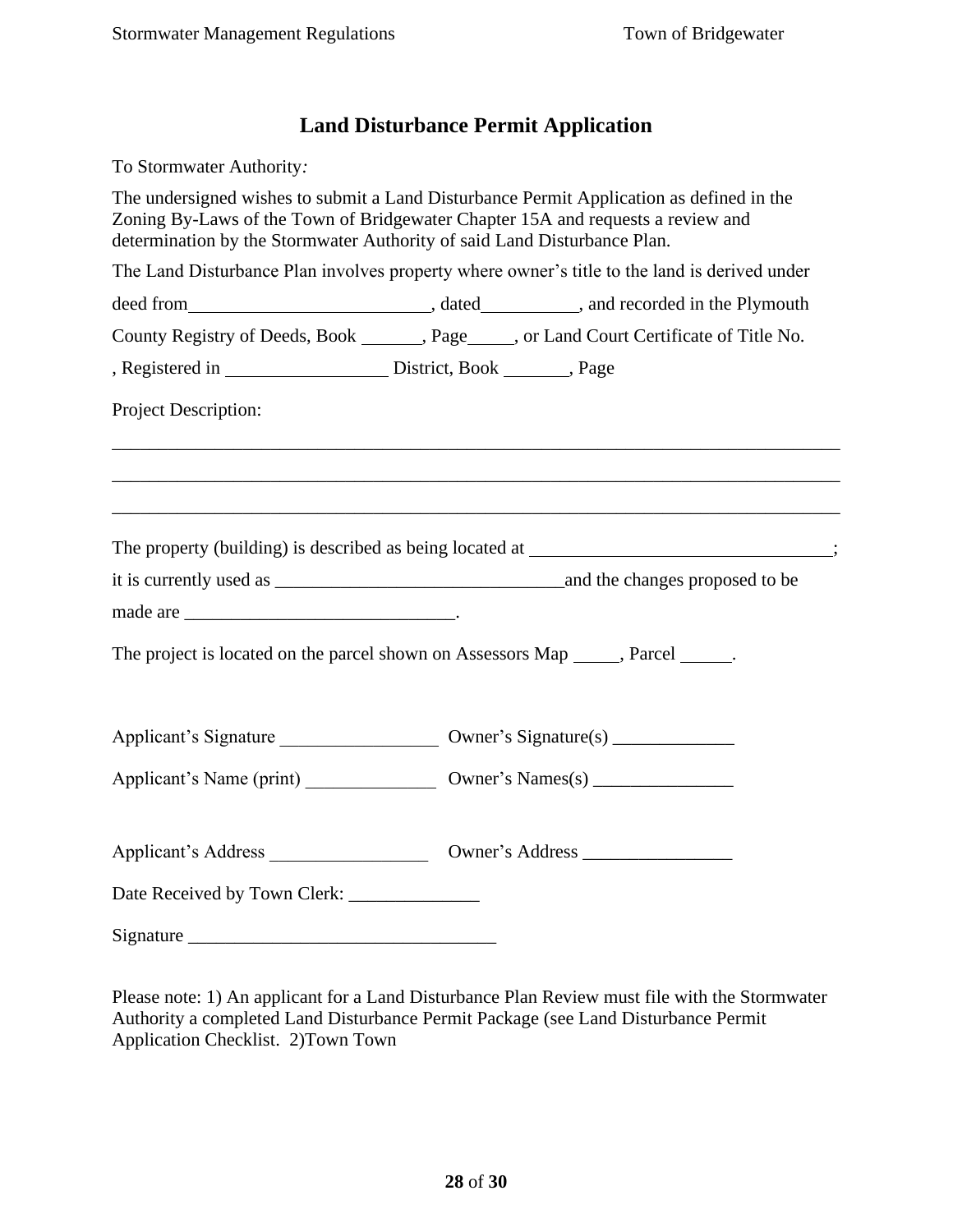# **Land Disturbance Permit Application**

<span id="page-27-0"></span>To Stormwater Authority*:*

The undersigned wishes to submit a Land Disturbance Permit Application as defined in the Zoning By-Laws of the Town of Bridgewater Chapter 15A and requests a review and determination by the Stormwater Authority of said Land Disturbance Plan. The Land Disturbance Plan involves property where owner's title to the land is derived under deed from , dated , dated , and recorded in the Plymouth County Registry of Deeds, Book, Page , or Land Court Certificate of Title No. , Registered in District, Book , Page Project Description: \_\_\_\_\_\_\_\_\_\_\_\_\_\_\_\_\_\_\_\_\_\_\_\_\_\_\_\_\_\_\_\_\_\_\_\_\_\_\_\_\_\_\_\_\_\_\_\_\_\_\_\_\_\_\_\_\_\_\_\_\_\_\_\_\_\_\_\_\_\_\_\_\_\_\_\_\_\_ \_\_\_\_\_\_\_\_\_\_\_\_\_\_\_\_\_\_\_\_\_\_\_\_\_\_\_\_\_\_\_\_\_\_\_\_\_\_\_\_\_\_\_\_\_\_\_\_\_\_\_\_\_\_\_\_\_\_\_\_\_\_\_\_\_\_\_\_\_\_\_\_\_\_\_\_\_\_ \_\_\_\_\_\_\_\_\_\_\_\_\_\_\_\_\_\_\_\_\_\_\_\_\_\_\_\_\_\_\_\_\_\_\_\_\_\_\_\_\_\_\_\_\_\_\_\_\_\_\_\_\_\_\_\_\_\_\_\_\_\_\_\_\_\_\_\_\_\_\_\_\_\_\_\_\_\_ The property (building) is described as being located at ; it is currently used as \_\_\_\_\_\_\_\_\_\_\_\_\_\_\_\_\_\_\_\_\_\_\_\_\_\_\_\_\_\_\_and the changes proposed to be made are \_\_\_\_\_\_\_\_\_\_\_\_\_\_\_\_\_\_\_\_\_\_\_\_\_\_\_\_\_. The project is located on the parcel shown on Assessors Map \_\_\_\_\_, Parcel \_\_\_\_\_\_. Applicant's Signature \_\_\_\_\_\_\_\_\_\_\_\_\_\_\_\_\_ Owner's Signature(s) \_\_\_\_\_\_\_\_\_\_\_\_\_ Applicant's Name (print)  $\qquad \qquad \text{Owner's Names(s)}$ Applicant's Address \_\_\_\_\_\_\_\_\_\_\_\_\_\_\_\_\_ Owner's Address \_\_\_\_\_\_\_\_\_\_\_\_\_\_\_\_ Date Received by Town Clerk: Signature \_\_\_\_\_\_\_\_\_\_\_\_\_\_\_\_\_\_\_\_\_\_\_\_\_\_\_\_\_\_\_\_\_

Please note: 1) An applicant for a Land Disturbance Plan Review must file with the Stormwater Authority a completed Land Disturbance Permit Package (see Land Disturbance Permit Application Checklist. 2)Town Town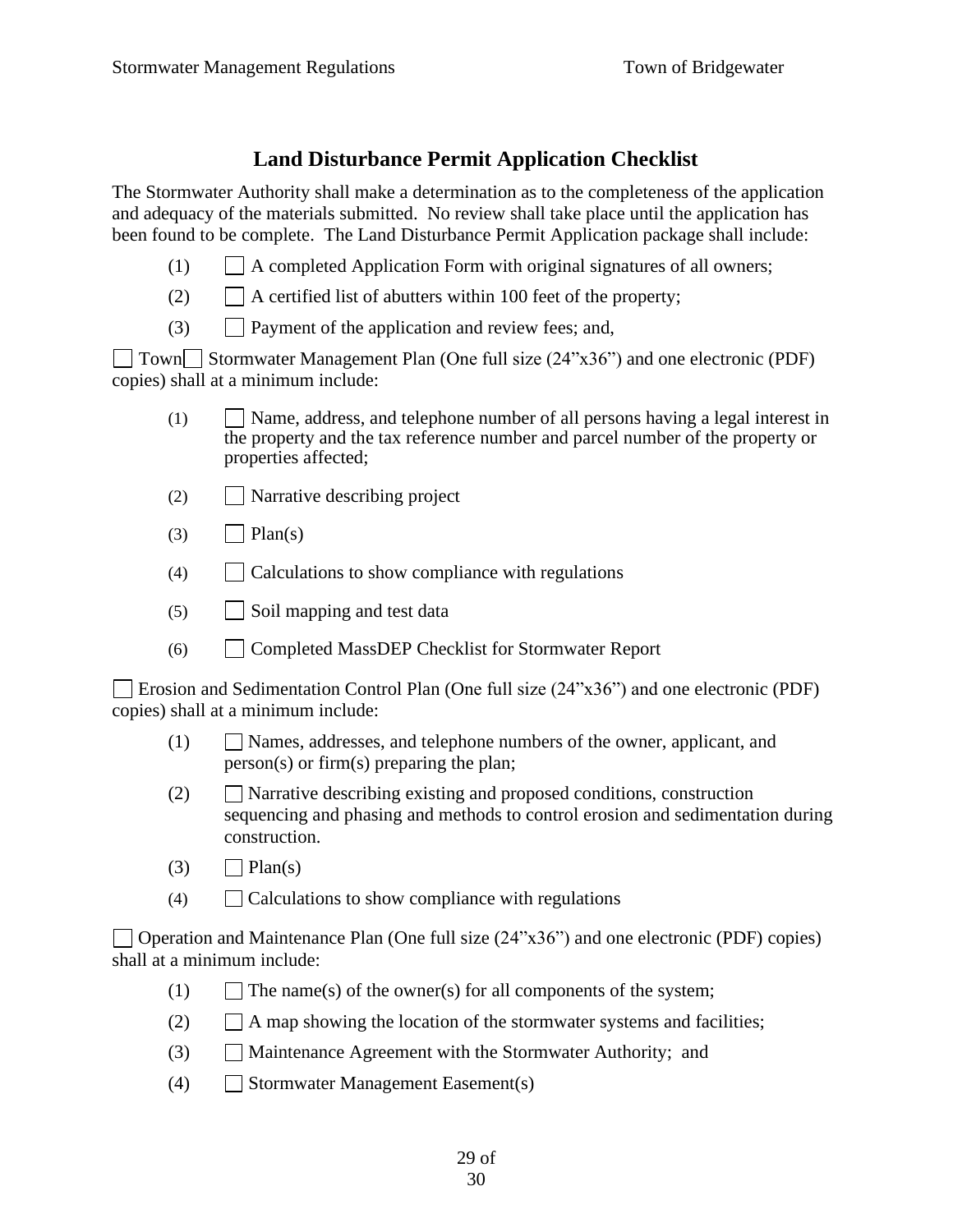# **Land Disturbance Permit Application Checklist**

<span id="page-28-0"></span>The Stormwater Authority shall make a determination as to the completeness of the application and adequacy of the materials submitted. No review shall take place until the application has been found to be complete. The Land Disturbance Permit Application package shall include:

- (1)  $\Box$  A completed Application Form with original signatures of all owners;
- $(2)$  | | A certified list of abutters within 100 feet of the property;
- (3) Payment of the application and review fees; and,

 $\Box$  Town $\Box$  Stormwater Management Plan (One full size (24"x36") and one electronic (PDF) copies) shall at a minimum include:

- (1) Name, address, and telephone number of all persons having a legal interest in the property and the tax reference number and parcel number of the property or properties affected;
- (2) Narrative describing project
- $(3)$   $\Box$  Plan(s)
- (4) Calculations to show compliance with regulations
- $(5)$  | Soil mapping and test data
- (6) Completed MassDEP Checklist for Stormwater Report

Erosion and Sedimentation Control Plan (One full size (24"x36") and one electronic (PDF) copies) shall at a minimum include:

- (1) Names, addresses, and telephone numbers of the owner, applicant, and person(s) or firm(s) preparing the plan;
- (2)  $\Box$  Narrative describing existing and proposed conditions, construction sequencing and phasing and methods to control erosion and sedimentation during construction.
- $(3)$   $\Box$  Plan(s)
- $(4)$   $\Box$  Calculations to show compliance with regulations

Operation and Maintenance Plan (One full size  $(24"x36")$  and one electronic (PDF) copies) shall at a minimum include:

- (1)  $\Box$  The name(s) of the owner(s) for all components of the system;
- (2)  $\Box$  A map showing the location of the stormwater systems and facilities;
- (3) Maintenance Agreement with the Stormwater Authority; and
- (4) Stormwater Management Easement(s)